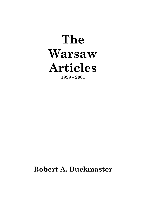# **The Warsaw Articles 1999 - 2001**

# **Robert A. Buckmaster**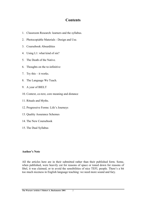# **Contents**

- 1. Classroom Research: learners and the syllabus.
- 2. Photocopiable Materials Design and Use.
- 3. Coursebook Absurdities
- 4. Using L1: what kind of sin?
- 5. The Death of the Native.
- 6. Thoughts on the to-infinitive
- 7. Try this it works.
- 8. The Language We Teach.
- 9. A year of BIELT
- 10. Context, co-text, core meaning and distance
- 11. Rituals and Myths.
- 12. Progressive Forms: Life's Journeys
- 13. Quality Assurance Schemes
- 14. The New Coursebook
- 15. The Dual Syllabus

#### **Author's Note**

All the articles here are in their submitted rather than their published form. Some, when published, were heavily cut for reasons of space or toned down for reasons of libel, it was claimed, or to avoid the sensibilities of nice TEFL people. There's a bit too much niceness in English language teaching: we need more sound and fury.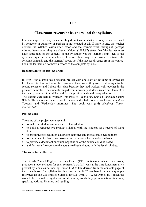# **One**

# **Classroom research: learners and the syllabus**

Learners experience a syllabus but they do not know what it is. A syllabus is created by someone in authority or perhaps is not created at all. If there is one, the teacher delivers the syllabus lesson after lesson and the learners work through it, perhaps missing items when they are absent. Yalden (1987:87) states that "the learner must have some idea of the content (of the syllabus)" yet the learner's only idea of the syllabus might be the coursebook. However, there may be a mismatch between the syllabus demands and the learners' needs, so if the teacher diverges from the coursebook the learners do not have a record of the complete syllabus.

#### **Background to the project group**

In 1998 I ran a small-scale research project with one class of 10 upper-intermediate level students. I knew five of the learners in the class as they were continuing into the second semester and I chose this class because they had worked well together in the previous semester. The students ranged from university students (male and female) in their early twenties, to middle-aged female professionals and non-professionals.

The lessons were held at Warsaw University of Technology English Language Centre (ELC). The class met twice a week for one and a half hours (two lesson hours) on Tuesday and Wednesday mornings. The book was (old) *Headway lIpperintermediate.* 

#### **Project aims**

The aims of the project were several:

- to make the students more aware of the syllabus
- to build a retrospective product syllabus with the students as a record of work done
- to encourage reflection on classroom activities and the rationale behind them
- to encourage feedback on classroom activities on a lesson to lesson basis
- to provide a document on which negotiation of the course could be based
- and for myself to compare the actual realised syllabus with the level syllabus.

#### **The existing syllabus**

The British Council English Teaching Centre (ETC) in Warsaw, where I also work, produces a level syllabus for each semester's work. It was at the time fundamentally a product syllabus, as defined by Nunan (1988: 12), derived from the contents page of the coursebook. The syllabus for this level at the ETC was based on headway upper Intermediate and was entitled Syllabus for D2 (Units 7- 12, see Annex I). It listed the work to be covered in eight sections: structures, vocabulary, pronunciation, functions, speaking, writing, listening and reading.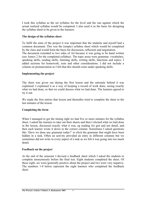I took this syllabus as the set syllabus for the level and the one against which the actual realised syllabus would be compared. I also used it as the basis for designing the syllabus sheet to be given to the learners.

#### **The design of the syllabus sheet**

To fulfil the aims of the project it was important that the students and myself had a common document. This was the (empty) syllabus sheet which would be completed by the class and would form the basis for discussion, reflection and negotiation. The document extended to two sides of A4 because it was going to be hand written (see Annex 2 for the completed syllabus). The topic areas were grammar, vocabulary, speaking skills, reading skills, listening skills, writing skills, functions and topics. I added sections for homework, tests and other considerations. I did not include a column on pronunciation as I felt that this should come under speaking skills.

#### **Implementing the project**

The sheet was given out during the first lesson and the rationale behind it was explained. I explained it as a way of keeping a record of work done, seeing exactly what we had done, so that we could discuss what we had done. The learners agreed to try it out.

We made the first entries that lesson and thereafter tried to complete the sheet in the last minutes of the lesson.

#### **Completing the form**

When I managed to get the timing right we had five or more minutes for the syllabus sheet. I asked the learners to take out their sheets and then I elicited what we had done in the lesson, discussed exactly what it was, eg reading for gist and not detail, and then each learner wrote it down in the correct column. Sometimes I asked questions like 'Have we done any grammar today?' to elicit the grammar that might have been hidden in a task. Often an activity provided an entry in different columns but we sometimes did not write in every aspect of a task as we felt it was going into too much detail.

#### **Feedback on the project**

At the end of the semester I devised a feedback sheet which I asked the students to complete anonymously before the final test. Eight students completed the sheet. Of these eight, six were,'generally positive about the project and two were very negative. The numbers 1-8 below represent the eight learners who completed the feedback sheet.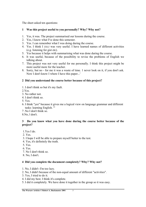The sheet asked ten questions:

# **1 Was this project useful to you personally? Why? Why not?**

- 1. Yes, it was. The project summarised our lessons during the course.
- 2. Yes, I know what I've done this semester.
- 3. Yes. I can remember what I was doing during the course.
- 4. Yes. I think I *(sic)* was very useful. I have learned names of different activities (e.g. listening for gist etc).
- 5. Yes because it helps with summarising what was done during the course.
- 6. It was useful, because of the possibility to revise the problems of English we talking about.
- 7. This project was not very useful for me personally. I think this project might be more useful more for the teacher.
- 8. Sorry, but no for me it was a waste of time. 1 never look on it, if you don't ask. Now I don't know I where I have this paper...'

# **2 Did you understand the course better because of this project?**

- 1. I don't think so but it's my fault.
- 2.Yes.
- 3. No rather not.
- 4. I don't think so.
- 5. Yes.
- 6. I think "yes" because it gives me a logical view on language grammar and different tasks: learning English. "'
- 7 .No I don't think so.
- 8.No, l don't.

# **3 Do you know what you have done during the course better because of the project?**

- 1.Yes I do.
- 2. Yes.
- 3. I hope I will be able to prepare myself better to the test.
- 4. Yes, it's definitely the truth.
- 5. Yes.
- 6. Yes.
- 7. No I don't think so.
- 8. No, I don't.

# **4 Did you complete the document completely? Why? Why not?**

- 1. No, I didn't -I'm too lazy.
- 2. No, I didn't because of the non-equal amount of different "activities".
- 3. Yes, I tried to do it.
- 4. I did my best. I think it's complete.
- 5. I did it completely. We have done it together in the group so it was easy.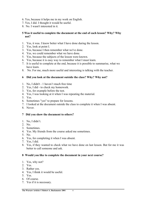- 6. Yes, because it helps me in my work on English.
- 7. Yes, I did. I thought it would be useful.
- 8. No. I wasn't interested in it.

#### **5 Was it useful to complete the document at the end of each lesson? Why? Why not?**

- 1. Yes, it was. I know better what I have done during the lesson.
- 2. Yes, look at point I.
- 3. Yes, because I then remember what we've done.
- 4. Yes, we could remember what we have done.
- 5. Yes, because the subjects of the lesson were known.
- 6. Yes, because it is easy way to remember what I must learn.
- 7. It is useful to complete at the end, because it is possible to summarise, what we have learn.
- 8. No. For me, much more useful and interesting is talking with the teacher.

#### **6 Did you look at the document outside the class? Why? Why not?**

- 1. No, I didn't 1 haven't much free time
- 2. Yes, I did to check my homework.
- 3. Yes, for example before the test.
- 4. Yes, I was looking at it when I was repeating the material.
- 5. Yes.
- 6. Sometimes "yes" to prepare for lessons.
- 7. I looked at the document outside the class to complete it when I was absent.
- 8. Never.

#### **7 Did you show the document to others?**

- 1. No, I didn't.
- 2. No.
- 3. Sometimes.
- 4. Yes. My friends from the course asked me sometimes.
- 5. No.
- 6. Yes, for completing it when I was absent.
- 7. Yes, I did.
- 8. Yes, if they wanted to check what we have done on last lesson. But for me it was better to call someone and ask.

#### **8 Would you like to complete the document in your next course?**

- 1. Yes, why not?
- 2. Yes.
- 3. Rather yes.
- 4. Yes, I think it would be useful.
- 5. Yes.
- 6. Of course.
- 7. Yes if it is necessary.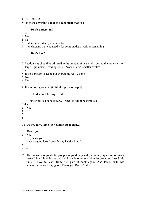- 8. No. Please!
- **9 Is there anything about the document that you**

#### **Don't understand?**

- $1 4 -$
- 5. No.
- 6. No.
- 7. I don't understand, what it is for.
- 8. I understand that you need it for some statistic work or something.

### **Don't like?**

 $1. -$ 

- 2. Section size should be adjusted to the amount of its activity during the semester (ie larger 'grammar', 'reading skills', 'vocabulary', smaller 'tests')
- $3. -$
- 4. It isn't enough space to put everything we've done.
- 5. No
- 6. No
- 7. -
- 8. It was boring to write (to fill this piece of paper).

# **Think could be improved?**

1. 'Homework' is not necessary. 'Other' is full of possibilities.

- $2-4$  -
- 5. No.
- 6. No.
- 7. -
- 8. !!!

#### **10 Do you have any other comments to make?**

- 1. Thank you
- 2. No.
- 3. No, thank you.
- 4. It was a good idea (sorry for my handwriting!).
- $5. -$
- $6. -$
- 7. -
- *8.* The course was good -the group was good prepared (the same, high level of many person) but I think it was bad that I was in other school in 1st semester: I need this time, I have to learn from first part of book again. And lesson with Ms Komorowska was very good. Thank you Robert! *(sic)*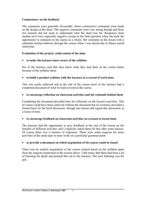#### **Commentary on the feedback**

The comments were generally favourable. Some constructive comments were made on the design of the sheet. The negative comments were very strong though and these two learners did not seem to understand what the sheet was for. Responses from student no.8 were especially negative except to the final question when she took the opportunity to comment on the course as a whole. Her comment on the lesson with a substitute teacher halfway through the course when I was absent due to illness jarred somewhat.

#### **Evaluation of the project: achievement of the aims**

#### • **to make the learners more aware of the syllabus**

Six of the learners said that they knew what they had done in the course better because of the syllabus sheet.

#### • **to build a product syllabus with the learners as a record of work done**

This was easily achieved and at the end of the course most of the learners had a completed document of what we had covered in the course.

#### • **to encourage reflection on classroom activities and the rationale behind them**

Completing the document provided time for reflection on the lesson's activities. This of course could have been achieved without the document but its existence provided a formal basis for the brief discussion -though one learner did regard this discussion as a waste of time.

#### • **to encourage feedback on classroom activities on a lesson to lesson basis**

The learners had the opportunity to give feedback at the end of the lesson on the benefits of different activities and I explicitly asked them for this after some lessons. Of course there was a mixture of responses. There were some requests for more activities of the same type or more work on a particular grammar point

#### • **to provide a document on which negotiation of the course could be based**

There was no explicit negotiation of the course content based on the syllabus apart from the requests mentioned in the section above. I did notice that there had been a lot of listening for detail and pointed this out to the learners. The next listening was for gist.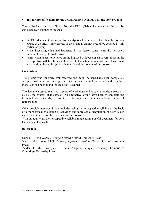#### • **and for myself to compare the actual realised syllabus with the level syllabus**

The realised syllabus is different from the ETC syllabus document and this can be explained by a number of reasons:

- the ETC document was meant for a sixty-four hour course rather than the 56 hour course at the ELC .some aspects of the syllabus did not need to be covered by this particular group
- when discussing what had happened in the lesson some items did not seem important enough to write down
- items which appear only once on the imposed syllabus appear several times in the retrospective syllabus because this reflects the actual number of times these areas were dealt with and this gives a better idea of the content of the course.

#### **Conclusions**

The project was generally well-received and might perhaps have been completely accepted had more time been given to the rationale behind the project and if in fact, more uses had been found for the actual document.

The document served really as a record of work done and as such provided a reason to discuss the content of the lesson. An alternative would have been to complete the form at longer intervals, e.g. weekly or fortnightly to encourage a longer period of retrospection.

Other possible uses could have included using the retrospective syllabus as the basis of a more formal evaluation of activities and more actual negotiation of activities to meet student needs for the remainder of the course.

With an adult class the retrospective syllabus might form a useful document for both learners and the teacher.

#### **References**

Nunan, D. 1988. *Syllabus design.* Oxford: Oxford University Press,

Soars, J. & L. Soars. 1989. *Headway upper-intermediate.* Oxford: Oxford University Press.

Yalden, J, 1987. *Principles of course design for language teaching.* Cambridge: Cambridge University Press.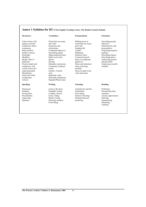#### **Annex 1 Syllabus for D2 (©The English Teaching Centre, The British Council, Poland)**

#### **Structures Vocabulary Pronunciation Functions**

would, used to for

Future forms (will, Words that are nouns Shifting stress in Describing people going to, present and verbs words that are nouns (physical continuous, future Synonyms and and verbs characteri continuous, future Synonyms and and verbs characteristics and continuous, collocations characteristics and continuous, continuous, collocations Emphatic'do' personalities)<br>
future perfect) Compound adiectives /uzedto/ Expressing negative future perfect) Compound adjectives /uzedto/ Expressing Relative clauses Describing people Dipthongs qualities Exercition completes Dipthongs<br>
Shape/material/colour Sentence stress Describing objects Participles Shape/material/colour Sentence stress<br>Modifiers Multi-word verbs Connected speech Modifiers Multi-word verbs Connected speech Describing places .<br>Modal verbs of Money Stress in compound Expressing present deduction **Driving adjectives** and past habit and past habit Present simple and Idiomatic expressions Stress and intonation Expressing yourself, continuous will. Commonly confused when criticising tactfully Commonly confused when criticism expressing habit Formal v Neutral Stress in multi-word Should have style style verbs and nouns<br>done/wish/ third Reporting verbs Reporting verbs conditionals Dictionary definitions Articles Singular/Plural nouns

Discourse markers Form filling Skimming

Stress in compound

#### **Speaking Writing Listening Reading**

Discussion Letter to the press Listening for specific Predicting<br>
Roleplay Pamphlet writing information Recognisin Giving short Complex clauses Note taking sentences Expressing Report writing Summarising and Inferring Opinions Discourse markers predicting Report of the Predicting Summarising and Discourse markers predicting Summarising and Discourse markers

Recognising topic Presentations Essay writing Intensive listening Literary appreciation<br>Expressing Report writing Summarising and Inferring Internal scanning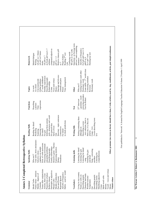|                                              | Homework               | sts book p65 nos 6-7<br>compound adjectives<br>Wb p58 ex 6 p verbs<br>Relative clauses p49<br>wb p41 ex 1 future<br>wb p42 ex3 future<br>Confusing words<br>Reading 2 <sup>nd</sup> text<br>Modal dialogue<br>Preps of place<br>wb p44 ex 7<br>p45 ex 1-2<br>syllabus<br>Writing<br>forms<br>Essay<br>Life<br>ex <sub>3</sub>                | Questions on Scrooge texts<br>p64 no 2 and completing | Ex5 p61, p62 nos 6+8<br>Adverbs of frequency<br>Hemingway text<br>$Ex 4 p67$ wish<br>рб8/9 ех б<br>sentences                                                                                                                                                                                                                    |
|----------------------------------------------|------------------------|----------------------------------------------------------------------------------------------------------------------------------------------------------------------------------------------------------------------------------------------------------------------------------------------------------------------------------------------|-------------------------------------------------------|---------------------------------------------------------------------------------------------------------------------------------------------------------------------------------------------------------------------------------------------------------------------------------------------------------------------------------|
|                                              | Topics                 | Marriage and divorce<br>Holiday experiences<br>3 <sup>rd</sup> world childhood<br>Time management<br>Describing people<br>Animals and pets<br>Vices and virtues<br>Global problems<br>City/countryside<br>Relationships<br>At a hotel<br>At work<br>Money<br>Crime<br>Prison                                                                 | <b>Other</b>                                          | Exam skills - 3 <sup>rd</sup> world cloze<br>Getting to know each other<br>Correcting mistakes<br>Dictionary work<br>Dictionary work<br>Who am I?<br>Revision                                                                                                                                                                   |
| gn<br>Annex 2 Completed Retrospective Syllab | Functions              | expressions<br>Describing<br>a picture<br>Time                                                                                                                                                                                                                                                                                               | Test                                                  | correcting mistakes<br>- grammar, vocab<br>Test for Robert<br>$23rd$ short test                                                                                                                                                                                                                                                 |
|                                              | <b>Reading Skills</b>  | Structure - topic sentences<br>style, structures and vocab<br>Inferring from content,<br>to check predictions<br>Reading for detail<br>For general idea<br>Guessing vocab<br>Styles of text<br>Connectives<br>Predicting<br>For detail<br>For detail<br>Scanning<br>For gist<br>Gist                                                         | Writing Sills                                         | Other grammar (no room on form): should have done, I wish, articles, used to, -ing, conditionals, articles, past simple/continuous<br>Joining contrasting ideas<br>- text cohesion, there is<br>2 texts describing town<br>there are, it is, they are<br>Describing a scene:<br>although etc<br>$Comp - h/w$<br>articles<br>h/w |
|                                              | <b>Speaking Skills</b> | Tone units, stress and pauses<br>Detective game - fluency<br>Pron. of verbs and nouns<br>Discussing environment<br>Family relationships<br>emphasis on modals<br>and global problems<br>Expressing emotion<br>Describing people<br>Selective stress -<br>Who am I?<br>Paradoxes<br>Money                                                     | Listening skills                                      | Listening for detail<br>Listening for detail<br>Song-correcting<br>Listening for gist<br>listening for gist<br>comprehension<br>Listening for<br>and detail<br>mistakes<br>$-$ song $-$                                                                                                                                         |
|                                              | Grammar                | Tenses after conjunctions<br>Participles as adjectives<br>Habits - used to/would<br>Future forms - analysis<br>Adverbs of frequency<br>Prepositions of place<br>Modals of deduction<br>Modals - degrees of<br>Articles, there is/are<br>Reported Speech<br>Relative clauses<br>Past and Present<br>Phrasal verbs<br>Modal Verbs<br>Certainty | Vocabulary                                            | Vocab – vices and virtues<br>Living in city/country<br>Modifying adjectives<br>Character and looks<br>Nouns as verbs etc<br>Describing people<br>Describing people<br>Describing towns<br>Multi-word verbs<br>Weather/seasons/<br>Violent crimes<br>Temperature<br>Idioms<br>Money<br>Crime<br>Ğ                                |

First published in 'Network' A Journal for English Language Teacher Education Volume 2 Number 1 April 1999 First published in 'Network' A Journal for English Language Teacher Education Volume 2 Number 1 April 1999

 $\overline{11}$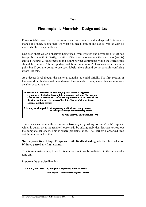#### **Two**

# **Photocopiable Materials - Design and Use.**

Photocopiable materials are becoming ever more popular and widespread. It is easy to glance at a sheet, decide that it is what you need, copy it and use it, yet, as with all materials, there may be flaws.

One such sheet which I observed being used (from Forsyth and Lavender (1995)) had two problems with it. Firstly, the title of the sheet was wrong - the sheet was (and is) entitled 'Futures 2 future perfect and future perfect continuous' while the correct title should be 'Futures 2 future perfect and future continuous'. This may seem a minor point but if you are going to use such labels there should be no possibly confusing errors like this.

At a deeper level though the material contains potential pitfalls. The first section of the sheet described a situation and asked the students to complete sentence stems with an a/ or b/ continuation.



The teacher can check the exercise in **two** ways, by asking for an a/ or b/ response which is quick, **or** as the teacher I observed, by asking individual learners to read out the complete sentences. This is where problems arise. The learners I observed read out the sentences like this:

#### **'In ten years time I hope I'll (pause while finally deciding whether to read a/ or b/) have passed my final exams.'**

This is an unnatural way to read this sentence as it has been divided in the middle of a tone unit.

I rewrote the exercise like this:

| 1/ In ten years time | a/ I hope I'll be passing my final exams.  |  |  |
|----------------------|--------------------------------------------|--|--|
|                      | b/ I hope I'll have passed my final exams. |  |  |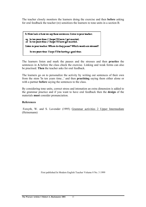The teacher closely monitors the learners doing the exercise and then **before** asking for oral feedback the teacher (re) sensitizes the learners to tone units in a section B.

B. Now look at how we say these sentences. Listen to your teacher. eg In ten years time / I hope I'll have / got married. or In ten years time / I hope I'll have got married. Listen to your teacher. Where do they pause? Which words are stressed? In ten years time I hope I'll be having a good time.

The learners listen and mark the pauses and the stresses and then **practice** the sentences in **A** before the class check the exercise. Linking and weak forms can also be practised. **Then** the teacher asks for oral feedback.

The learners go on to personalize the activity by writing out sentences of their own from the stem 'In ten years time...' and then **practising** saying them either alone or with a partner **before** saying the sentences to the class.

By considering tone units, correct stress and intonation an extra dimension is added to the grammar practice and if you want to have oral feedback then the **design** of the materials **must** consider pronunciation.

#### **References**

 Forsyth, W. and S. Lavender (1995) Grammar activities 2 Upper Intermediate (Heinemann)

First published In Modern English Teacher Volume 8 No. 3 1999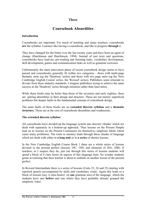# **Three**

# **Coursebook Absurdities**

#### **Introduction**

Coursebooks are important. For much of teaching and many teachers, coursebooks **are** the syllabus. Learners like having a coursebook, and like to progress **through** it.

They have changed for the better over the last twenty years and have been an agent of change (Hutchinson and Hutchinson, 1994). Instead of just texts and questions, coursebooks have lead-ins, pre-reading and listening tasks, vocabulary development, skill development, games and communication tasks as well as grammar exercises.

Unfortunately the main innovation phase of recent coursebook design seems to have passed and coursebooks generally fit within two categories - those with multi-page thematic units (eg the 'Headway' series) and those with two page units (eg the 'New Cambridge English Course' series, the 'Reward' series). Publishers seem reluctant to deviate from these industry standards. I imagine publishers trying to achieve the same success as the 'Headway' series through imitation rather than innovation.

While these books may be better than those of the seventies and early eighties, there are glaring absurdities in their design and structure. These are not merely superficial problems but deeper faults in the fundamental concept of coursebook design.

The main faults of these books are an **extended discrete syllabus** and a **thematic structure.** These are at the core of coursebook absurdities and weaknesses.

#### **The extended discrete syllabus**

All coursebooks have divided up the language system into discrete 'chunks' which are dealt with separately in a bottom-up approach. Thus lessons on the Present Simple lead on to lessons on the Present Continuous (in themselves simplistic labels which cause many problems). The route to mastery leads through these chunks of language which are dealt with either in **a long unit** or in **a series** of shorter lessons.

In the New Cambridge English Course Book 1 there are a whole series of lessons devoted to the present perfect (lessons 19C, 19D, and elements of 20A, 20B). If teachers, as I suspect they do, just run through this series of lessons students will spend a block of 4 class hours on aspects of this language item. No wonder students groan at realising that their teacher is about to embark on another lesson of the present perfect.

In Reward Intermediate there is a series of lessons (Units 23, 24 and 25) dealing with reported speech (accompanied by skills and vocabulary work). Again this leads to a block of lessons (say, 6 class hours) on **one** grammar area of the language which the students have met **before** and one where they have probably already grasped the simplistic 'rules'.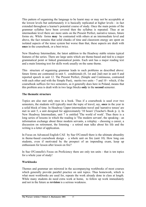This pattern of organising the language to be learnt may or may not be acceptable at the lowest levels but unfortunately it is basically replicated at higher levels - in fact extended throughout a learner's potential course of study. Once the main points of the grammar syllabus have been covered then the syllabus is repeated. Thus at an intermediate level there are more units on the Present Perfect, narrative tenses, future forms etc. While forms **may** be contrasted with others at an intermediate level and above, the fact remains that solid chunks of time and classroom energy are spent on isolated aspects of the tense system but worse than that, these aspects are dealt with **once** in the coursebook, or a best twice.

New Headway Intermediate, the latest addition to the Headway stable retains typical features of the series. There are large units which are theme-based and tied to a major grammatical point or linked grammatical points. Each unit has a major reading text and a main listening text for skills work usually on the same theme.

This structure of organising grammar leads to such problems as described above: future forms are contrasted in unit 5, conditionals (0, 1st and 2nd) met in unit 8 and reported speech in unit 12. The Present Perfect, (Simple and Continuous, contrasted with each other and with the Simple Past), merits two units - 7 and 10 - which, if the coursebook suffices for two semesters, as it generally does here in Poland, means that this problem area is dealt with in two large blocks **only** in the **second** semester.

#### **The thematic structure**

Topics are also met only once in a book. Thus if a coursebook is used over two semesters, the students will typically meet the topic of travel, say, **once** in the year in a solid block of time. In Headway Upper-intermediate travel and 'narrative tenses' are met in unit 5, a unit designed for approximately '10 hours' (Teacher's Book p. i). In New Headway Intermediate, unit 7 is entitled 'The world of work'. Thus there is a long series of lessons in which the reading is 'The modern servant', the speaking - an information exchange about three modern servants, a roleplay - choosing a career, a discussion on retirement, the listening - a retired man talks about his life and the writing is a letter of application.

In Focus on Advanced English CAE by Sue O'Connell there is the ultimate absurdity in theme-based coursebook design - a whole unit on fire (unit 10). How long can students, even if motivated by the prospect of an impending exam, keep up enthusiasm for lesson after lesson on fire?

In Sue O'Connells's Focus on Proficiency there are only ten units - that is ten topics for a whole year of study!

#### **Workbooks**

Themes and grammar are mirrored in the accompanying workbooks of most courses which generally provide parallel practice on unit topics. Thus homework, which is what most workbooks are used for, repeats the work already done in class at length. While many students do need extra work at home, to follow up work immediately and not in the future as **revision** is a serious weakness.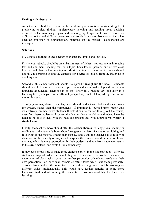#### **Dealing with absurdity**

As a teacher I find that dealing with the above problems is a constant struggle of previewing topics, finding supplementary listening and reading texts, devising different tasks, reviewing topics and breaking up longer units with lessons on different topics and different grammar and vocabulary areas. No wonder there has been an explosion of supplementary materials on the market - coursebooks are inadequate.

#### **Solutions**

My general solutions to these design problems are simple and fourfold.

Firstly, coursebooks should be an embarrassment of riches - not just one main reading text and one main listening text on a topic. Each lesson (seen as one or two class hours) should have a long reading and short listening or visa versa. A teacher should not have to scramble to find the elements for a series of lessons from the materials in one long unit.

Secondly, this embarrassment should be spread **throughout** the book - students should be able to return to the same topic, again and again, to develop and **revise** their linguistic knowledge. Themes can be met firstly in a reading text and later in a listening text (perhaps from a different perspective) - not all lumped together in one monolithic unit.

Thirdly, grammar, above elementary level should be dealt with holistically - stressing the system, rather than the components. If grammar is touched upon rather than exhaustively rammed down students' throats it can be revised throughout the course, even from lesson to lesson. I suspect that learners have the ability and indeed have the **need** to be able to deal with the past and present and with future forms **within a single lesson.** 

Finally, the teacher's book should offer the teacher **choices.** For any given listening or reading text, the teacher's book should suggest **a variety** of ways of exploiting and following-up the materials rather than step 1,2 and 3 that the teacher has to follow or abandon. With a variety of ways made explicit the teacher would be able to choose that way which is more appropriate for their students and at a **later** stage even return to the **same** material and exploit it in another way.

It may even be possible to make these choices explicit in the students' book - offer the students a range of tasks from which they have to choose. This would either involve negotiation of class tasks - based on teacher perception of students' needs and their own perception - or individual learners selecting tasks which suit them personally. Thus a class could do the same task or individuals or groups could be working on different tasks simultaneously. This would have further benefits of being more learner-centred and of training the students to take responsibility for their own learning.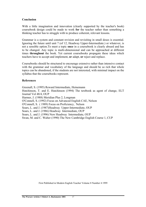#### **Conclusion**

With a little imagination and innovation (clearly supported by the teacher's book) coursebook design could be made to work **for** the teacher rather than something a thinking teacher has to struggle with to produce coherent, relevant lessons.

Grammar is a system and constant revision and revisiting in small doses is essential. Ignoring the future until unit 7 (of 12, Headway Upper-Intermediate.) or whatever, is not a sensible option.To meet a topic **once** in a coursebook is clearly absurd and has to be changed. Any topic is multi-dimensional and can be approached at different times **throughout** the book. Yet current coursebooks propagate these ideas which teachers have to accept and implement, **or** adapt, **or** reject and replace.

Coursebooks should be structured to encourage extensive rather than intensive contact with the grammar and vocabulary of the language and should be so rich that whole topics can be abandoned, if the students are not interested, with minimal impact on the syllabus that the coursebooks represent.

#### **References**

Greenall, S. (1995) Reward Intermediate, Heinemann Hutchinson, T. and E. Hutchinson (1994) The textbook as agent of change, ELT Journal Vol 48/4, OUP Harmer, J. (1988) Meridian Plus 2, Longman O'Connell, S. (1992) Focus on Advanced English CAE, Nelson O'Connell, S. ( 1989) Focus on Proficiency, Nelson Soars, L. and J. (1987)Headway Upper-Intermediate, OUP Soars, L. and J. (1986) Headway Intermediate, OUP Soars, L. and J. (1996) New Headway Intermediate, OUP Swan, M. and C. Walter (1990) The New Cambridge English Course 1, CUP

First Published in Modern English Teacher Volume 8 Number 4 1999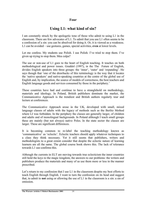# **Four**

# **Using L1: what kind of sin?**

I am constantly struck by the apologetic tone of those who admit to using L1 in the classroom. There are few advocates of L1. To admit that you use L1 often seems to be a confession of a sin: you can be absolved for doing it. Or, it is viewed as a weakness. L1 can be avoided – use gestures, games, special activities, **even** at lower levels.

Let me confess. My students use Polish. I use Polish. I've tried to stop them. I've given up trying to stop them. Mea culpa?

The use or non-use of L1 goes to the heart of English teaching. It touches on both methodological and power issues. Graddol (1997), in the The Future of English, divides English speakers into three groups: the 'inner', 'outer' and 'expanding'. He says though that 'one of the drawbacks of this terminology is the way that it locates the 'native speakers' and native-speaking countries at the centre of the global use of English and, by implication, the source of models of correctness, the best teachers and English language goods and services consumed by those in the periphery.'

These countries have had and continue to have a stranglehold on methodology, materials and ideology. In Poland, British publishers dominate the market, the Communicative Approach is the trendiest and British authors regularly tour and lecture at conferences.

The Communicative Approach arose in the UK, developed with small, mixed language classes of adults with the legacy of methods such as the Berlitz Method where LI was forbidden. In the periphery the classes are generally larger, of children and adults and of monolingual backgrounds. In Poland although I teach small groups these are mainly (but not always) native Poles. In the state sector the classes are larger. These are significant differences.

It is becoming common to re-label the teaching methodology known as 'communicative' as 'eclectic'. Eclectic teachers should apply whatever techniques to a class they think necessary. Yet it still seems that publishers, writers and methodologists to a great extent consider that despite the eclectic nature of learning learners are all the same. The global course book shows this. The lack of tolerance towards L1 use confirms this.

Although the currents in ELT are moving towards true eclecticism the inner countries still hold the keys to the magic kingdom, the answers to our problems: the writers and publishers produce the materials and many of us use them more or less in the manner prescribed.

Let's return to my confession that I use L1 in the classroom despite my best efforts to teach English through English. I want to turn the confession on its head and suggest that, to admit to **not** using or allowing the use of L1 in the classroom is a sin: a sin of omission.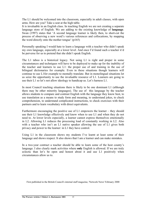The L1 should be welcomed into the classroom, especially in adult classes, with open arms. How are you? Take a seat at the high table.

It is invaluable in an English class. In teaching English we are not creating a separate language store of English. We are adding to the existing knowledge of **language**. Swan (1997) states that 'A second language learner is likely then, to short-cut the process of observing a new word's various references and collocations, by mapping the word directly onto the mother tongue' (p165)

Personally speaking I would hate to learn a language with a teacher who didn't speak my own language, especially at a lower level. And once I'd found such a teacher it'd be perverse for us to pretend that she didn't speak English.

The L1 taboo is a historical legacy. Not using L1 is right and proper in some circumstances and techniques will have to be deployed to make up for the inability of the teacher and learners to use L1: the proper use of and training in the use of bilingual dictionaries for example. Even in these situations though learners will continue to use L1for example to mentally translate. But in monolingual situations let us seize the opportunity to use the invaluable resource of L1. Learners are going to use their L1 so let's not allow ideology to handicap us. Let's harness L1.

In most Council teaching situations there is likely to be one dominant L1 (although there may be other minority languages). The use of this language by the teacher allows students to compare and contrast English with the language they know best, to use translation as a means to study form and meaning, to understand jokes, to check comprehension, to understand complicated instructions, to check exercises with their partners and to learn vocabulary with direct equivalents.

Furthermore encouraging the positive use of L1 empowers the learner – they should use their L1 knowledge effectively and know when to use L1 and when they do not need to. At lower levels especially, a learner cannot express themselves emotionally in L2. Allowing L1 reduces the processing load of constantly working in L2. Also with a teacher who isn't an L1 native speaker allowing the use of L1 gives both privacy and power to the learner: in L1 they have control.

Using L1 in the classroom shows my students I've learnt at least some of their language and shows respect. It also shows that I am a learner and can make mistakes.

In a two-year contract a teacher should be able to learn some of the host county's language. I also clearly mark activities where **only** English is allowed. If we are truly eclectic than let's be open and honest about it and use L1 positively when circumstances allow us to.

First published in the British Council's internal staff magazine, 'Network News' February 2000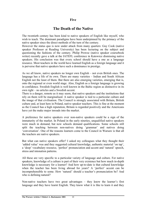### **Five**

# **The Death of the Native**

The twentieth century has been kind to native speakers of English like myself, who wish to teach. The dominant paradigms have been underpinned by the primacy of the native speaker since the direct methods of the turn of the century.

However the status quo is now under attack from many quarters: Guy Cook (native speaker Professor at Reading University) has been lecturing on the subject and questioning the fashions of the century. Philip Prowse (native speaker coursebook writer) recently gave a talk at the IATEFL conference in Katowice dismissing native speakers. His conclusion was that every school should have a one as a language resource. Most teachers in the world have learned English as a foreign language and it is perverse that native speakers have such a dominance in prestige.

As we all know, native speakers no longer own English – not even British ones. The language has a life of its own. There are many varieties – Indian and South African English not the least of them. But there are also emerging varieties, emerging that is, onto the regional or even world stage. Also, English as a foreign language is growing in confidence. Swedish English is well known in the Baltic region as distinctive in its own right – no articles and a Swedish accent.

There is a danger, remote as it may seem, that native speakers and the institutions that rely on them will be marginalised. A native speaker is tied to a particular culture and the image of that civilisation. The Council is strongly associated with Britain, British culture and, at least here in Poland, native speaker teachers. This is fine at the moment as the Council has a high reputation, Britain is regarded positively and the Americans have yet the make major inroads into the market.

A preference for native speakers over non-native speakers could be a sign of the immaturity of the market. In Poland in the early nineties, unqualified native speakers were much in demand, but now schools demand qualifications. Some schools still split the teaching between non-natives doing 'grammar' and natives doing 'conversation'. One of the reasons learners come to the Council in Warsaw is that all the teachers are native speakers.

But what can native speakers offer? I asked my colleagues what they thought their 'added value' was and they suggested cultural knowledge, authentic material 'on tap', a 'deep' vocabulary resource, 'perfect' pronunciation and accent and 'natural' speech, stress and intonation patterns.

All these are very specific to a particular variety of language and culture. For native speakers, knowledge of a culture is part of their very existence but how much in-depth knowledge is necessary for a learner? And how up-to-date is that cultural knowledge when the teacher has been living abroad for years? A 'perfect' accent can be incomprehensible to some. How 'natural' should a teacher's pronunciation be? And who is defining natural?

Non-native teachers have two great advantages – they know the learner's first language and they have learnt English. They know what it is like to learn it and they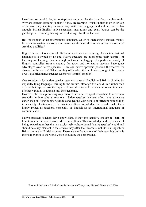have been successful. So, let us step back and consider the issue from another angle. Why are learners learning English? If they are learning British English to go to Britain or because they identify in some way with that language and culture that is fair enough. British English native speakers, institutions and exam boards can be the gatekeepers – teaching, testing and evaluating – for these learners.

But for English as an international language, which is increasingly spoken mainly between non-native speakers, can native speakers set themselves up as gatekeepers? Are they qualified?

English is out of our control. Different varieties are maturing. As an international language it is owned by no-one. Native speakers are questioning their 'control' of teaching and learning. Learners might not want the baggage of a particular variety of English controlled from a country far away, and non-native teachers have great advantages over native speakers. How can native speakers position themselves for changes in the market? What can they offer when it is no longer enough to be merely a well-qualified native speaker teacher of (British) English?

One solution is for native speaker teachers to teach English and British Studies by explicitly tying language learning to the culture, although this could limit rather than expand their appeal. Another approach would be to build an awareness and tolerance of other varieties of English into their teaching.

However, the most promising way forward is for native speaker teachers to offer their strengths in intercultural relations. Native speaker teachers often have extensive experience of living in other cultures and dealing with people of different nationalities in a variety of situations. It is this intercultural knowledge that should make them highly prized as teachers, especially of English as an international language of communication.

Native speakers teachers have knowledge, if they are sensitive enough to learn, of how to operate in and between different cultures. This knowledge and experience of being expatriate rather than an exclusively culture-bound 'native speaker' could and should be a key element in the service they offer their learners: not British English or British culture or British accents. These are the foundations of their teaching but it is their experience of the world which should be the cornerstone.

First published in the British Council's internal staff magazine, 'Network News' April 2000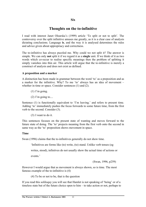### **Six**

# **Thoughts on the to-infinitive**

I read with interest Janet Olearska's (1999) article 'To split or not to split'. The controversy over the split infinitive amuses me greatly, as it is a clear case of analysis dictating conclusions. Language **is**, and the way it is analysed determines the rules and advice given about appropriacy and correctness.

The to-infinitive has always puzzled me. Why could we not split it? The answer is simple. We can only **not** split it if we regard it as a **single** unit. If we think of it as two words which co-occur to realise specific meanings then the problem of splitting it simply vanishes into thin air. This article will argue that the to-infinitive is merely a construct of analysis and does not exist as defined.

#### **A preposition and a marker**

A distinction has been made in grammar between the word 'to' as a preposition and as a marker for the infinitive. Why? To me 'to' always has an idea of movement – whether in time or space. Consider sentences (1) and (2).

- (1) I'm going.
- $(2)$  I'm going to....

Sentence (1) is functionally equivalent to 'I'm leaving.' and refers to present time. Adding 'to' immediately pushes the focus forwards to some future time, from the first verb to the second. Consider (3).

(3) I want to do it.

This sentences focuses on the present state of wanting and moves forward to the future state of doing. The 'to' projects meaning from the first verb onto the second in same way as the 'to' preposition shows movement in space.

#### **Time**

Swan (1996) claims that the to-infinitives generally do not show time.

'Infinitives are forms like (to) write, (to) stand. Unlike verb tenses (eg

writes, stood), infinitves do not usually show the actual time of actions or

events.'

(Swan, 1996, p259)

However I would argue that as movement is always shown, so is time. The most famous example of the to-infinitive is (4)

(4) To be or not to be, that is the question

If you read this soliloquy you will see that Hamlet is not speaking of 'being' or of a timeless state but of the future choice open to him – to take action or not, perhaps to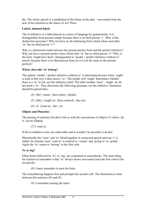die. The whole speech is a meditation of the future in the play – movement from the now of his situation to the future of Act Three.

### **Labels, damned labels**

The to-infinitive is a label placed on a piece of language by grammarians. It is distinguished from present simple because there is no third person 's'. Why is this distinction necessary? Why not have an all-embracing form which when used after 'to' has no third person 's'?

Why is a distinction made between the present perfect form and the perfect infinitive? Why not have a present perfect form which after 'to' has no third person 's'? Why is the form 'might have been' distinguished as 'modal + perfect infinitive without to' merely because there is no third person form (ie it is not the same as the present perfect)?

# **Where does this 'to' belong?**

The pattern 'modal + prefect infinitive without to' is interesting because when 'ought' is used in this way it does need a 'to'. The modal verb 'ought' determines whether there is a 'to' or not, not the infinitive itself. The other modals 'must', 'might' etc do not need a 'to'. They determine the following grammar, not the infinitive. Sentences should be parsed thus:

- (4)  ${He}$  {must} {have been} {drunk}
- (5)  ${She}$  {ought to} {have noticed} {the car}
- (6)  $\{\Gamma\}$  {want to}  $\{\text{do}\}\{\text{it}\}$

#### **Ellipsis and Phonetics**

The parsing of sentence (6) above fits in with the conventions of ellipsis (7) where 'do it' can be ellipted.

(7) I want to.

If the to-infinitive were one indivisible unit it wouldn't be possible to do this.

Phonetically the 'want' and 'to' blend together in connected speech and one 't' is elided. In extreme cases 'want to' is realised as 'wanna' and 'going to' as 'gonna'. Again the 'to' seems to 'belong' to the first verb.

# **To or ing?**

Often forms followed by 'to' or 'ing' are contrasted in coursebooks. The main thing for learners to remember is that 'to' always shows movement from the first verb to the second  $(8)$ .

(8) I must remember to post the letter.

The remembering happens first and prompts the second verb. The distinction is clear between this sentence (8) and (9).

(9) I remember posting the letter.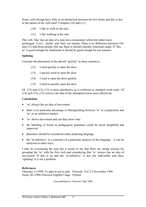Some verbs though have little or no distinction between the two forms and this is due to the nature of the verb itself. Compare (10) and (11).

- (10) I like to walk in the rain.
- (11) I like walking in the rain.

The verb 'like' has an idea of a state not a momentary whim but rather more prolonged. 'Love', 'prefer' and 'hate' are similar. There is no difference between (10) and (11) and those people who say there is should consider American usage. If 'like to' is good enough for Americans it should be good enough for our learners.

#### **Splitting**

Consider the placement of the adverb 'quickly' in these sentences.

- (12) I tried quickly to open the door.
- (13) I quickly tried to open the door
- (14) I tried to open the door quickly.
- (15) I tried to quickly open the door.

Of (12) and (13), (13) is most satisfactory as it conforms to standard word order. Of (14) and (15), (15) conveys the idea of the attempted action most effectively.

#### **Conclusions**

- 'to' always has an idea of movement
- there is no particular advantage to distinguishing between 'to' as a prepostion and 'to' as an infinitive marker
- 'to' shows movement and can thus show time
- the labelling of forms in pedagogical grammars could be much simplified and improved
- phonetics should be considered when analysing language
- the 'to-infinitive' is a construct of a particular analysis of the language  $-$  it can be analysed in other ways.

I may be overstating the case but it seems to me that there are strong reasons for grouping the 'to' with the first verb and considering that 'to' always has an idea of movement. If this is so and the 'to-infinitive' is not one indivisible unit then. 'splitting' it is not a problem.

#### **References**

Olearska, J (1999) To split or not to split Network Vol 2/2 November 1999 Swan, M (1996) Practical English Usage Oxford

First published in 'Network' May 2000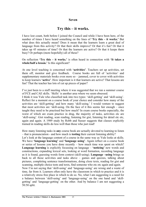#### **Seven**

# **Try this – it works.**

I have lost count, both before I joined the Council and while I have been here, of the number of times I have heard something on the lines of **'Try this – it works.'** But what does this actually mean? Does it mean that the learners learn a great deal of language from this activity? Or that their skills improve? Or that it's fun? Or that it takes up 45 minutes of time? Or that the learners are active? Or that it keeps them busy? Or perhaps (more hopefully) all of these?

On reflection **'Try this – it works.'** is often heard in connection with **'It takes a whole/half a lesson.'** Is this significant?

At one level teaching is concerned with **'activities'**. Teachers set up activities, set them off, monitor and give feedback. Course books are full of 'activities' and supplementary materials books even more so  $-$  jammed, cover to cover with activities to keep learners **'active'**. How important is it that learners are active? That lessons are fun? That the teacher has lots of cut up pieces of paper?

I've just been to a staff meeting where it was suggested that we run a summer course of FCE and CAE skills. 'Skills' is another area where we seem obsessed.

I think it was Yule who classified task into two types: 'skill-getting' and 'skill-using'. Reflect for a moment on a course book of your choice and consider how many of the activities are 'skill-getting' and how many 'skill-using.' I would venture to suggest that most activities are 'skill-using. On the face of it this seems fair enough – once taught they need to be practised but how much? In exam course books especially, the worst of which are exam practice in drag, the majority of tasks, activities etc are 'skill-using'. Gist reading, scan reading, listening for gist, listening for detail etc etc, again and again. A 1989 study by Robb and Susser suggests that classes explicitly trained in reading skills do less well than those who just read!

How many listening tasks in **any** course book are actually devoted to learning to listen – that is pronunciation - and how much is **testing** their current listening ability?

Let's look at the language content of a course in the same way as Yule looks at skills. We have **'language learning'** and **'language using'**. Again reflect on a course book or series of lessons you have done recently – how much time was spent on which? **Language learning** is explicitly focussing on language – **'noticing'** new words and constructions, expanding lexical sets, looking at word formation, recording language as it is found, guessing words form context (skill-using). **Language –using** brings us back to all those activities and tasks above – games and quizzes, talking about pictures, completing sentence transformations, doing cloze texts, reading for gist and scanning, multiple choice tests and texts, find someone who etc etc again and again.

Now I'm not saying that 'skill-using' and 'language-using' are wrong and a waste of time, far from it. Learners often only have the classroom in which to practice and it is a relatively stress free place in which to do so. No, what I am suggesting is a need for a balance between 'skill-using' and 'language-using' on the one hand and 'skillgetting' and 'language-getting' on the other. And by balance I am not suggesting a 50:50 split.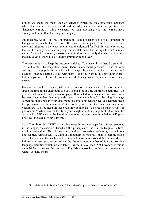I think we spend too much time on activities which are only practising language which the learners already (or should already) know and not enough time on 'language-learning'. I think we spend too long practising what the learners have already met rather than teaching new language.

An anecdote. At an IATEFL Conference in Łodz a speaker spoke of a Rumanian or Hungarian teacher he had observed. He showed us samples of the learners' written work and asked us to say what level it was. We plumped for CAE. It was, he revealed, the result of one year of learning English in a state school with English 6 or 8 hours a week. The teacher was very charismatic he told us but not only that, she had told him that she covered the whole of English grammar in one year.

The pressure is on to keep the customer satisfied. To amuse him or her. To entertain. To be the star. To keep them busy. There is enormous pressure if one of your colleagues is a popular/fun teacher who always plays games and does quizzes and puzzles. Imagine sharing a class with them – and you want to do something worthy but perhaps dull – like word formation and dictionary work. A balance is, of course, needed.

Each of us should, I suggest, take a step back occasionally and reflect on how we spend the time in the classroom. Do you spend a lot of time on practise activities? Do you in fact hide behind pieces of paper (laminated or otherwise) and keep your learners busy rather than explicitly teach them something? Is learning language something incidental in your classroom or something central? Do you learners need to, yet again, do an exam task? Or could you spend the time learning some vocabulary? Do you need all these resource books? Do you need so many OHT's or photocopies? When was the last time you thought about language first rather than the activity first? When was the last time you extended your own knowledge of English or of the language of your learners?

Scott Thornbury, in IATEFL Issues, has recently made an appeal for fewer resources in the language classroom, based on the principles of the Danish Dogme 95 filmmaking collective. This is teaching without excessive technology – without photocopies, without OHT's, without a mountain of materials, that is learning based on the learners and the teacher and the interaction of these two and the real world. I think it is very easy to be seduced by the enormous number of fun and exciting language activities which are available. I know, I have been. Yet I wonder if this is enough? Next time you hear or say **'Try this – it works.'**, reflect for a moment on what it actually means.

First published in the British Council's internal staff magazine, 'Network News' June 2000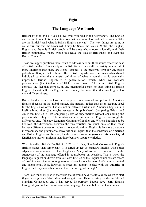# **Eight**

# **The Language We Teach**

Britishness is in crisis if you believe what you read in the newspapers. The English are starting to search for an identity now that devolution has muddied the waters. Who are the British? And what is British English anyway? The way things are going it could turn out that the Scots will firstly be Scots, the Welsh, Welsh, the English, English and the only British people will be those who choose to identify with their British nationality. Where would this leave the idea of Britishness and even the British Council?

These are bigger questions than I want to address here but these issues affect the case of British English. This variety of English, for we must call it a variety in a world of more Englishes than there are Heinz varieties, is the preferred term for UK based publishers. It is, in fact, a brand. But British English covers **so** many island-based individual varieties that a useful definition of what it actually **is**, is practically impossible. British English is a generalisation, which, when we consider pronunciation (the Cinderella of ELT), is too broad. The term British English conceals the fact that there is, in any meaningful sense, no such thing as British English. I speak **a** British English, one of many, but more than that, my English has many different facets.

British English seems to have been proposed as a branded competitor to American English (because in the global market, size matters) rather than as an accurate label for the English we offer. The distinction between British and American English is in itself a blind alley (but maybe necessary for publishers). Comparing British and American English is like comparing sizes of supermarket without considering the products which they sell. The similarities between these two Englishes outweigh the differences and, if the new Longman Grammar of Spoken and Written English is to be believed, the differences between the two varieties are much smaller than those between different genres or registers. Academic written English is far more divergent in vocabulary and grammar to conversational English than the constructs of American and British English are. In short, the differences **between genres within a variety of English** are more significant than those between separate varieties.

What is called British English in ELT is, in fact, Standard Coursebook English (British rather than American). It is tarted-up RP or Standard English with softer edges and concessions to other Englishes. Many of us have commented on the strangeness of the language offered in coursebooks on occasion. This is when the language in question differs from our own English or the English which we are aware of. And it is so 'nice' – no toughness or taboos for our learners. Let's be nice, neutral and unemotional. It is, however, a necessary attempt to deal with the **quantity** of English and maybe a valiant one at that, but is it good enough?

There is so much English in the world that it would be difficult to know where to start if you were given a blank slate and no guidance. There is safety in the established Standard Coursebook and it has served its purpose. People have learnt English through it, just as there were successful language learners before the Communicative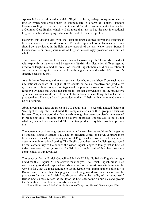Approach. Learners do need a model of English to learn, perhaps to aspire to own, an English which will enable them to communicate in a form of English. Standard Coursebook English has been meeting this need. Yet there are moves afoot to develop a Common Core English which will do more than just nod to the new International English, which is developing outside of the control of native speakers.

However, this doesn't deal with the latest findings outlined above: the differences between genres are the most important. The entire approach to the language we teach should be re-evaluated in the light of the research of the last twenty years. Standard Coursebook is an amorphous mass of English misleadingly presented as a unified whole.

There is a clear distinction between written and spoken English. This needs to be dealt with explicitly in materials and by teachers. **Within** this distinction different genres need to be taught in a modular way. For General English there could be a selection of core written and spoken genres while add-on genres would enable ESP learner's specific needs to be met.

As a further refinement, and to answer the critics who say we 'should' be teaching an international standard of English, there should be both a receptive and productive syllabus. Such things as question tags would appear in 'spoken conversation' in the receptive syllabus but would not appear in 'spoken conversation' in the productive syllabus. Learners would have to be able to understand such things but not need to produce them. They could work on producing them if their motivation moved them to do so of course.

About a year ago I read an article in ELTJ about 'tails' - a recently noticed feature of 'real spoken English' - and used the sample materials with a group of business learners. They understood the idea quickly enough but were completely uninterested in producing tails. Imitating specific patterns of spoken English was definitely not what they wanted or even needed. The receptive/productive syllabus would cope with this.

The above approach to language content would mean that we could teach the genres of English (found in Britain, say), add-on different genres and even compare them between varieties while providing a core of English which would enable learners to operate in an international setting. This English, or rather these English genres, would be the learners' key to the door of the wider English language family that is English today. We need to recognise that English is a complex animal but then use these complexities to our advantage.

The question for the British Council and British ELT is: 'Is British English the right brand for this 'English'?' The answer must be yes. The British English brand is so widely recognised and respected world-wide, one of the most powerful brands in the world in fact, that we must continue to use it, despite what might happen politically in Britain itself. But in this changing and developing world we must ensure that the product sold under the British English brand reflects the quality of the brand itself. British English must reflect the reality of the Englishes found on our isles and give us the flexibility to meet learners' needs world-wide.

First published in the British Council's internal staff magazine, 'Network News' August 2000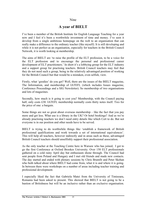#### Nine

# **A year of BIELT**

I've been a member of the British Institute for English Language Teaching for a year now and I feel it's been a worthwhile investment of time and money. I've seen it develop from a single ambitious homepage on the web to an organisation that can really make a difference to the ordinary teacher (like myself). It is still developing and while it is not perfect as an organisation, especially for teachers in the British Council Network, it is worth looking at membership.

The aims of BIELT are 'to raise the profile of the ELT profession, to be a voice for the ELT profession and to encourage the personal and professional career development of ELT practitioners.' In short it's a lobbying group for the ELT industry and a support group for practising teachers. British Council teachers may feel that they do not need such a group, being in the relatively advantaged position of working for the British Council but that would be a mistaken, even selfish, view.

Firstly, what 'goodies' do you get? Well, there are the issues of the BIELT magazine, The Information, and membership of IATEFL (which includes Issues magazine, Conference Proceedings and a SIG Newsletter). So membership of two organisations and lots of magazines.

Secondly, how much is it going to cost you? Membership, with the Council paying half, only costs £30. IATEFL membership normally costs thirty notes itself. Two for the price of one: a bargain.

Some things are not so great about overseas membership – like the fact that you pay more and get less. What use is a library in the UK? Or hotel bookings? And as we're already practising teachers we don't need entry details like which Cert to do. But not everyone is in our position and other needs have to be served.

BIELT is trying to do worthwhile things like 'establish a framework of British professional qualifications and work towards a set of international equivalences'. This will help all teachers, however indirectly and in areas such as these, advantaged British Council teachers should unselfishly support their professional association.

As the only teacher at the Teaching Centre here in Warsaw who has joined, I got to go the first Conference at Oxford Brookes University. Over 150 ELT professionals gathered on a cold rainy April day but enthusiasm shone through. The Council had sent people from Poland and Hungary and I met old friends and made new contacts. The day started and ended with plenary sessions by Chris Brumfit and Peter Skehan who both talked about where BIELT had come from, what it is and where it is going. In between there were workshops on a number of areas including teacher training and professional development.

I especially liked the fact that Gabriela Matei from the University of Timisoara, Romania had been asked to present. This showed that BIELT is not going to be a bastion of Britishness but will be an inclusive rather than an exclusive organisation.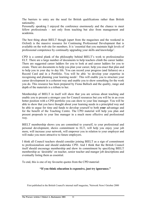The barriers to entry are the need for British qualifications rather than British nationality.

Personally speaking I enjoyed the conference enormously and the chance to meet fellow professionals – not only from teaching but also from management and academia.

The best thing about BIELT though (apart from the magazines and the weekend in Oxford) is the massive resource for Continuing Professional Development that is available on the web site for members. It is 'essential that you maintain high levels of professional competence by continually upgrading your skills and knowledge'.

CPD is a central plank of the philosophy behind BIELT's work to professionalise ELT. There are a large number of documents to help teachers climb the career ladder. There are suggested career ladders for you to look at and career ladders for you to create. There are documents to help you plan your career, help you enact that plan and to help you in your day to day life. You can record your progress (and failures) on a Record Card and in a Portfolio. You will be able 'to develop your expertise in recognising and planning your learning needs'. This will enable you to structure your career development in a coherent way and enable you to show something for the work you do. This resource has been prepared by Fiona Balloch and the quality, range and depth of the materials is a tribute to her.

Membership of BIELT in itself will show that you are serious about teaching and enable you to present a stronger case for Council resources but you will be in an even better position with a CPD portfolio you can show to your line manager. You will be able to show that you have thought about your learning needs in a principled way and be able to argue for time and funds to develop yourself to both **your** advantage and for the benefit of the Teaching Centre. The CPD material will help you plan and present proposals to your line manager in a much more effective and professional way.

BIELT membership shows you are committed to yourself, to your professional and personal development, shows commitment to ELT, will help you enjoy your job more, will increase your network, will empower you in relation to your employer and will make you more attractive to future employers.

I think all Council teachers should consider joining BIELT as a sign of commitment to professionalism and should undertake CPD. And I think that the British Council itself should encourage membership and show its commitment by specifying BIELT membership as 'desirable' on teacher, senior teacher and manger job descriptions and eventually listing them as essential.

To end, this is one of my favourite quotes from the CPD material:

#### **"If you think education is expensive, just try ignorance."**

First published in the British Council's internal staff magazine, 'Network News' October 2000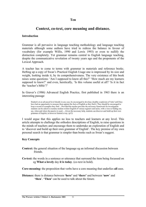#### **Ten**

# **Context, co-text, core meaning and distance.**

#### **Introduction**

Grammar is all pervasive in language teaching methodology and language teaching materials although some authors have tried to redress the balance in favour of vocabulary (for example Willis, 1990 and Lewis 1993) or even to nullify the distinction completely. Yet grammar remains central to English language teaching, despite the communicative revolution of twenty years ago and the proponents of the Lexical Approach.

A teacher has to come to terms with grammar in materials and reference books. Hefting up a copy of Swan's Practical English Usage one is impressed by its size and weight, looking inside it, by its comprehensiveness. The very existence of this book raises some questions: 'Am I supposed to know all this?' 'How much are my learners supposed to know?' and even, heretically, 'Is this volume useful at all? 'Is it in fact the 'teacher's bible'?'

In Graver's (1986) Advanced English Practice, first published in 1963 there is an interesting passage

Student's at an advanced level should, in any case, be encouraged to develop a healthy scepticism of 'rules' until they have had an opportunity to measure them against the facts of English as they find it. They should be encouraged to keep a record of examples they find.....Provided the teacher provides the necessary framework for investigation students can be asked to examine modern written English of various registers and styles, with a view to finding out, say, when and where the passive is used......Given the necessary help, students can discover and build up their own grammar of English, in however limited a way. (p13)

I would argue that this applies no less to teachers and learners at any level. This article attempts to challenge the orthodox descriptions of English, to raise questions in the minds of teachers and encourage them to undertake an exploration of English and to 'discover and build up their own grammar of English'. The key premise of my own personal search is that grammar is simpler than books such as Swan's suggest.

#### **Key Concepts**

- **Context:** the general situation of the language eg an informal discussion between friends.
- **Co-text:** the words in a sentence or utterance that surround the item being focussed on eg **What a lovely** day **it is today**. (co-text in bold).

**Core-meaning:** the proposition that verbs have a core meaning that underlies **all** uses.

**Distance:** there is distance between **'here'** and **'there'** and between **'now**' and **'then**'. **'Then'** can be used to talk about the future.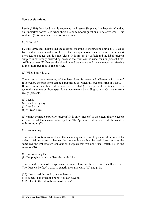#### **Some explorations.**

Lewis (1986) described what is known as the Present Simple as 'the base form' and as an 'unmarked form' used when there are no temporal questions to be answered. Thus sentence (1) is complete. Time is not an issue.

(1) 'I am 34.'.

I would agree and suggest that the essential meaning of the present simple is a 'a close fact' and we understand it as close in the example above because there is no context or co-text to suggest that it is not 'close'. It is present by default and the label 'present simple' is extremely misleading because the form can be used for non-present time. Adding co-text (2) changes the situation and we understand the sentences as referring to the future **because of the co-text.** 

(2) When I am 44.........

The essential core meaning of the base form is preserved. Clauses with 'when' followed by the base form can be paraphrased as 'when this becomes true or a fact...' If we examine another verb – read- we see that  $(3)$  is a possible sentence. It is a general statement but how specific can we make it by adding co-text. Can we make it really 'present'?

(3) I read. (4) I read every day. (5) I read a lot.  $(6)$  \* I read now.

(3) cannot be made explicitly 'present'. It is only 'present' to the extent that we accept it as a true of the speaker when spoken. The 'present continuous' could be used to refer to 'now' (7).

(7) I am reading.

The present continuous works in the same way as the simple present: it is present by default. Adding co-text changes the time reference but the verb form remains the same (8) and (9) (though convention suggests that we don't use 'watch TV in the sense of  $(9)$ ).

(8) I'm watching TV.

(9) I'm playing tennis on Saturday with John.

The co-text or lack of it expresses the time reference: the verb form itself does not. The 'Present Perfect' works in exactly the same way. (10) and (11).

- (10) I have read the book, you can have it.
- (11) When I have read the book, you can have it.
- (11) refers to the future because of 'when'.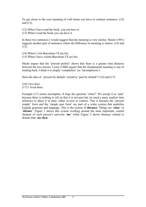To get closer to the core meaning of verb forms you have to contrast sentences. (12) and (13).

- (12) When I have read the book, you can have it.
- (13) When I read the book you can have it.

In these two sentences I would suggest that the meaning is very similar. Maule (1991) suggests another pair of sentences where the difference in meaning is clearer. (14) and  $(15)$ .

- (14) When I visit Barcelona I'll see her.
- (15) When I have visited Barcelona I'll see her.

Maule argues that the 'present perfect' shows that there is a greater time distance between the two actions. Lewis (1986) argues that the fundamental meaning is one of looking back. I think it is simply 'completion' (or 'incompletion').

Does the idea of 'present by default' extend to 'past by default'? (16) and (17)

(16) I live here. (17) I lived there.

Example (17) seems incomplete. It begs the question 'when?' We accept it as 'past' because there is nothing to tell us that it is not past but we need a more explicit time reference to place it in time: either co-text or context. This is because the 'present simple' form and the 'simple past form' are part of a wider system that underlies English grammar and language. This is the system of **distance**. Things are '**close**' or '**distant**.' Figure 1 shows this system working around the most important, central element of each person's universe '**me**' while Figure 2 shows distance related to distant time: **me then**.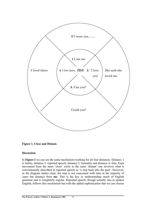



#### **Discussion.**

In **Figure I** we can see the same mechanism working for all four distances. Distance 1 is reality, distance 2: reported speech, distance 3: formality and distance 4: time. Each movement from the inner 'close' circle to the outer 'distant' one involves what is conventionally described in reported speech as 'a step back into the past'. However, as the diagram makes clear, the step is not concerned with time in the majority of cases but distance from **me**. This is the key to understanding much of English grammar and is completely regular. Reported speech, though actually rare in spoken English, follows this mechanism but with the added sophistication that we can choose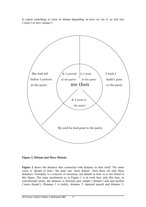to report something as close or distant depending on how we see it: as still true ('close') or not ('distant').



**Figure 2. Distant and More Distant.** 

**Figure 2** shows the distance idea connected with distance in time itself. The inner circle is 'distant in time', the outer one 'more distant'. Here there are only three distances. Formality is a concern of closeness, not distant in time so is not found in this figure. The same mechanism as in Figure 1 is at work here only this time, in conventional terms, the distance is between past simple ('distant') and past perfect ('more distant'). Distance 1 is reality, distance 2: reported speech and distance 3: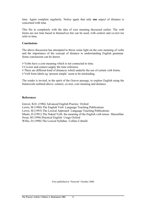time. Again complete regularity. Notice again that only **one** aspect of distance is concerned with time.

This fits in completely with the idea of core meaning discussed earlier. The verb forms are not time based in themselves but can be used, with context and co-text toe refer to time.

#### **Conclusions**

The above discussion has attempted to throw some light on the core meaning of verbs and the importance of the concept of distance to understanding English grammar. Some conclusions can be drawn.

# Verbs have a core meaning which is not connected to time.

# Co-text and context supply the time reference.

# There are different kind of distances which underlie the use of certain verb forms.

# Verb form labels eg 'present simple' seem to be misleading.

The reader is invited, in the spirit of the Graver passage, to explore English using the framework outlined above: context, co-text, core meaning and distance.

#### **References**

Graver, B.D. (1986) Advanced English Practice Oxford Lewis, M (1986) The English Verb Language Teaching Publications Lewis, M (1993) The Lexical Approach Language Teaching Publications Maule, D (1991) The Naked Verb: the meaning of the English verb tenses Macmillan Swan, M (1996) Practical English Usage Oxford Willis, D (1990) The Lexical Syllabus Collins Cobuild

First published in 'Network' October 2000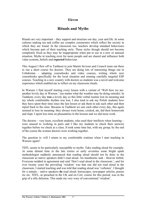# **Eleven**

# **Rituals and Myths**

Rituals are very important – they support and structure our day, year and life. In some cultures making tea and coffee are complex ceremonies which reflect the society in which they are found. In the classroom too, teachers develop standard behaviours which become part of their teaching style. These styles though should not become completely fixed as they may be inappropriate when put to use in a new or unusual situation. Myths in teaching exist for more people and are shared and influence both value systems, beliefs and **expected** behaviour.

This August I flew off to Tashkent to join Martin Seviour and Council team out there to run a short course for doctors. They are doing lots of interesting things out in Uzbekistan – adapting coursebooks and video courses, writing whole new coursebooks specifically for the local situation and running carefully targeted ESP courses. Teaching in a new country with doctors as students was a novel and welcome experience which enabled me to reflect on my classroom rituals.

In Warsaw I find myself starting every lesson with a variant of 'Well here we are: another lovely day in Warsaw,' (no matter what the weather may be doing outside). In Tashkent, every day **was** a lovely day so this little verbal routine lost its meaning and my whole comfortable rhythm was lost. I also tend to ask my Polish students how they have spent their time since the last lesson or ask them to ask each other and then report back to the class. Because in Tashkent we saw each other every day, this again seemed to lose its meaning: they always went home, cooked, ate, did their homework and slept. I spent less time on pleasantries in the lessons and we did more work.

The doctors – very keen, excellent students, who used their intellects when learning – were unused to working in pairs and I like my students to check their answers together before we check as a class. It took some time but, with my group, by the end of the course the women doctors were working together.

The question is: will I return to my comfortable routines when I start teaching in Warsaw again?

TEFL seems to be particularly susceptible to myths. Take reading aloud for example. At some distant time in the late sixties or early seventies some bright spark methodologist suddenly announced that reading aloud should not be done in the classroom as native speakers didn't read aloud. An inauthentic task - Heaven forbid. Everyone nodded in agreement and said 'Don't read aloud in the classroom.', and for over twenty years the prevailing 'wisdom' was that one did not read aloud in the classroom. I started teaching and was told that reading aloud was 'verboten'. I thought for a minute – native speakers **do** read aloud: horoscopes, newspaper articles, poems etc etc. TEFL, as preached in the UK and on Cert. course for this period, was in the grip of a silly delusion. This made me very wary of conventional 'wisdom'.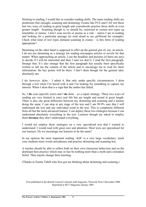Sticking to reading, I would like to consider reading skills. The main reading skills are prediction (fair enough), scanning and skimming. Exams like FCE and CAE test these last two ways of reading at great length and coursebooks practise these skills at even greater length. Scanning though is, or should be, restricted to certain text types eg timetables or menus. I don't scan novels or poems as a rule – unless I am re-reading and looking for a particular passage (to read aloud to my girlfriend for example). Check what kind of text types demand scanning in exams – is this form of reading appropriate?

Skimming on the other hand is supposed to offer up the general gist of, say, an article. I do not use skimming as a strategy for reading newspaper articles or novels for that matter. When approaching an article, I use the headline and pictures (if there are any) to decide if I will be interested and then I start (or don't). I read the first paragraph. Strange that. It's also strange that the first paragraph has usually been specifically written to tell me the content of the article and to encourage me to read for more information: the key points will be there. I don't skim though for the general idea: absolutely not.

I do, however, skim – I admit it. But only under specific circumstances. I skim through a text when I'm bored with it and I'm looking for something to capture my interest. When I skim that is a sign that the author has failed.

So, I **do** scan (specific texts) and I **do** skim – as a repair strategy. These two ways of reading are very limited in (my) real life but are taught and tested at great length. There is also one great difference between my skimming and scanning and a learner doing the same. I can stop at any stage of the text and I am 99.9% sure that I will understand the text and any individual word in the text. This is completely different from all but the most advanced learner. I can deploy these two strategies because I can understand absolutely everything in the text. Learners though are asked to employ them **because** they don't understand everything.

I would not employ these strategies on a very specialised text that I wanted to understand: I would read with great care and attention. Most texts are specialised for our learners. Do we encourage our learners to do the same?

In my opinion the most important reading 'skill' is a very large vocabulary: teach your students more words and phrases and practise skimming and scanning less.

A teacher should be able to reflect both on their own classroom behaviour and on the dominant best practice which may in fact be nothing more than a myth and a mistaken belief. Then maybe change their teaching.

(Thanks to Emma Tuhill who first got me thinking about skimming and scanning.)

First published in the British Council's internal staff magazine, 'Network News' December 2000 Reprinted in HLT Magazine January 2001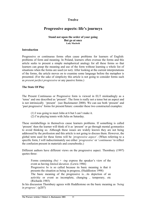# **Twelve**

# **Progressive aspects: life's journeys**

#### **Stand not upon the order of your going But go at once Lady Macbeth**

#### **Introduction**

Progressive or continuous forms often cause problems for learners of English: problems of form and meaning. In Poland, learners often overuse the forms and this article seeks to present a simple metaphorical analogy for all these forms so that learners can grasp the meaning and use of the form without learning a whole list of situations when the forms are used (or not). After looking at the current interpretations of the forms, the article moves on to examine some language before the metaphor is presented. (For the sake of simplicity this article is not going to consider forms such as *present perfect progressive* or any passive forms.)

#### **The State Of Play**

The Present Continuous or Progressive form is viewed in ELT misleadingly as a 'tense' and one described as 'present'. The form is really not a tense but an aspect and is not intrinsically 'present' (see Buckmaster 2000). We can use both 'present' and 'past progressive' forms for present/future: consider these two constructed examples:

- (1) I was going to meet John at 6 but I can't make it.
- (2) I'm playing tennis with Julia on Saturday.

These mislabellings in themselves cause learners problems. If something is called 'present' then the learner will think of it as 'present' or go through mental gymnastics to avoid thinking so. Although these issues are widely known they are not being addressed by the profession and this article is not going to discuss them. However, the global term used for these forms will be *'progressive aspect'*. (When referring to a specific form, I will indiscriminately use either *'progressive'* or '*continuous'* to reflect the confusion present in materials and coursebooks.)

Different authors have different views on the progressive aspect. Thornbury (1997) quotes three:

 Forms containing *(be) + -ing* express the speaker's view of the event as having *limited duration*. (Lewis 1986) Progressive *be* is so called because its basic meaning is that it presents the situation as being in progress, (Huddleston 1998) The basic meaning of the progressive is…its depiction of an activitiy or event as incomplete, changing , temporary, etc (Richards 1985)

In his discussion Thornbury agrees with Huddlestone on the basic meaning as *'being in progress'*. (p207)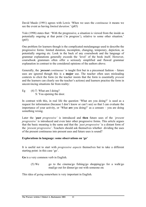David Maule (1991) agrees with Lewis 'When we uses the *continuous* it means we see the event as having *limited duration*.' (p85)

Yule (1998) states that: 'With the progressive, a situation is viewed from the inside as potentially ongoing at that point ('in progress'), relative to some other situation.' (p65)

One problem for learners though is the complicated metalangauge used to describe the progressive forms: limited duration, incomplete, changing, temporary, depiction, as potentially ongoing etc. Look in the back of any coursebook and the language of grammar explanations generally exceeds the 'level' of the book itself. However, coursebook grammars often offer a seriously simplified and flawed grammar explanation in contrast to the considered opinions of the authors above.

Generally, the *'present continuous'* is taught first but in a piecemeal fashion – future uses are ignored though this is a **major** use. The teacher often uses misleading contexts to elicit the form (ie the teacher insists that the form is essentially *present* and the learners can clearly see the teacher's actions) and learners practise the form in unconvincing situations far from reality:

Eg  $(4)$  T: What am I doing? S: You opening the door.

In contrast with this, in real life the question 'What are you doing?' is used as a request for information (because I don't know or can't see) so that I can evaluate the importance of your activity, or 'What **are** you doing?' as a censure – you are doing something wrong.

Later the '*past progressive'* is introduced and **then** future uses of the *'present progressive'* is introduced and even later other progressive forms. This article argues that the basic meaning is the same and that the *'past progressive'* is a distant form of the *'present progressive'*. Teachers should ask themselves whether dividing the uses of the present continuous into present uses and future uses is sound?

#### **Explorations in language: some observations on 'go'**

It is useful not to start with *progressive aspects* themselves but to take a different starting point: in this case 'go'.

**Go** is a very common verb in English.

(5) We go to the cinema/go fishing/go shopping/go for a walk/go mad/go out for dinner/go out with someone etc

This idea of *going* somewhere is very important in English.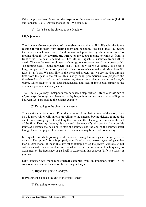Other languages may focus on other aspects of the event/sequence of events (Lakoff and Johnson 1980), English chooses 'go'. We can't say:

(6) \* Let's be at the cinema to see Gladiator.

### **Life's journey**

The Ancient Greeks conceived of themselves as standing still in life with the future rushing **towards** them from **behind** them and becoming 'the past' that 'lay before their eyes' (Kluckhohn 1960). The dominant metaphor for English, however, is of us moving through life **towards the future** or the future moving towards us from in front of us. The past is behind us. Thus life, in English, is a journey from birth to death. This can be seen in phrases such as 'go our separate ways', 'at a crossroads', 'no turning back', 'going nowhere fast', ' look how far we've come', 'it's been a long, bumpy road' and so on. (see Lakoff and Johnson's seminal work Metaphors We Live By (1980)). We may live in the perpetual present but we are moving through time from the past to the future. This is why many grammarians have proposed the time-based analysis of the verb system eg *simple past*, *simple present* and *simple future*, which despite its obvious inadequacies and lack of intellectual rigour, is the dominant grammatical analysis in ELT.

The 'Life is a journey' metaphors can be taken a step further: **Life is a whole series of journeys**. Journeys are characterised by beginnings and endings and travelling inbetween. Let's go back to the cinema example:

(7) I'm going to the cinema this evening.

This entails a decision to go. From that point on, from that moment of decision, I am on a journey which will involve travelling to the cinema, buying tickets, going to the auditorium, taking my seat, watching the film, and then leaving the cinema at the end of the film. Then my 'journey' is at an end. Sentence (7) tells you that I am on this journey: between the decision to start the journey and the end of the journey itself though the actual physical movement to the cinema may be several hours away.

In English this whole journey is all expressed using the verb **go** in the *progressive aspect*. The 'going' form is properly considered a *progressive aspect* of **go** rather than a semi-modal: it looks like any other example of eg the *present continuous* but collocates with **to** and another verb – which is the future action. It's frequency is explained by the frequency of **go** itself in expressing this concept 'Life is a series of journeys'.

Let's consider two more (constructed) examples from an imaginary party. In  $(8)$ someone stands up at the end of the evening and says:

(8) Right, I'm going. Goodbye.

In (9) someone signals the end of their stay is near:

(9) I'm going to leave soon.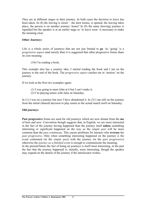They are at different stages in their journey. In both cases the decision to leave has been taken. In (8) the leaving is closer – the door looms, is opened, the leaving takes place, the person is on another journey: home? In (9) the same (leaving) journey is signalled but the speaker is at an earlier stage so 'to leave soon' is necessary to make the meaning clear.

#### **Other Journeys**

Life is a whole series of journeys that are not just limited to **go**. As 'going' is a *progressive aspect* (and merely that) it is suggested that other progressive forms share its core meaning.

(10) I'm reading a book.

This example also has a journey idea, I started reading the book and I am on the journey to the end of the book. The *progressive aspect* catches me in 'motion' on the journey.

If we look at the first two examples again:

- (1) I was going to meet John at 6 but I can't make it.
- (2) I'm playing tennis with Julia on Saturday.

In (1) I was on a journey but now I have abandoned it. In (2) I am still on the journey from the initial (shared) decision to play tennis to the actual match itself on Saturday.

#### **Old journeys**

**Past progressive** forms are used for old journeys which are now distant from the **me** of here and now. Convention though suggests that, in English, we are more interested in the fact of the journey having happened than the journey itself **unless** something interesting or significant happened on the way so the *simple past* will be more common than the *past continuous*. This causes problems for learners who **overuse** the *past progressive*. Only when something interesting happened on the journey is the event contrasted (in the *simple past*) with the journey (in the *past progressive*) otherwise the *journey as a finished event* is enough to communicate the meaning. In the present/future the fact of being on journeys is itself most interesting, in the past the fact that the journey happened is, initially, most interesting, though the speaker may expand on the details of the journey if the interlocutor wishes.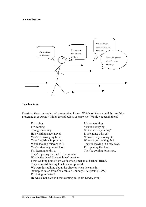#### **A visualisation**



#### **Teacher task**

Consider these examples of progressive forms. Which of them could be usefully presented as *journeys*? Which are ridiculous as *journeys*? Would you teach them?

I'm trying. It's not working. I'm coming! You're not trying. Spring is coming.<br>
Where are they hiding?<br>
He's writing a new novel.<br>
Is she going with us? He's writing a new novel. You're drinking my beer! Who are they waving at? Your English is improving. Who are you waiting for? We're looking forward to it. They're moving in a few days. You're standing on my foot! I'm opening the door. I'm learning to drive. They're coming tomorrow. They're getting married in the summer. What's the time? My watch isn't working. I was walking home from work when I met an old school friend. They were still having lunch when I phoned. We were just talking about the director when he came in. (examples taken from Ćwiczenia z Gramatyki Angieskiej 1999) I'm living in Oxford. He was leaving when I was coming in. (both Lewis, 1986)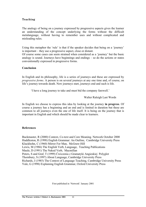#### **Teaching**

The analogy of being on a journey expressed by progressive aspects gives the learner an understanding of the concept underlying the forms without the difficult metalanguage, without having to remember uses and without complicated and misleading rules.

Using this metaphor the 'rule' is that if the speaker decides that being on a 'journey' is important – they use a progressive aspect, close or distant.

Of course some cases can seem strained when considered as a 'journey' but the basic analogy is sound. Journeys have beginnings and endings – so do the actions or states conventionally expressed in progressive forms.

#### **Conclusion**

In English and its philosophy, life is a series of journeys and these are expressed by *progressive forms*. A person is on several journeys at any one time and, of course, on life's journey towards death. New journeys start, journeys end and such is life.

'I have a long journey to take and must bid the company farewell.'

Walter Raleigh Last Words

In English we choose to express this idea by looking at the journey **in progress**. Of course a journey has a beginning and an end and is limited in duration but these are common to all journeys even the one of life itself. It is being on the journey that is important in English and which should be made clear to learners.

#### **References**

Buckmaster, R (2000) Context, Co-text and Core Meaning. Network October 2000 Huddleston, R (1998) English Grammar: An Outline, Cambridge University Press Kluckhohn, C (1960) Mirror For Man, McGraw-Hill Lewis, M (1986) The English Verb, Language, Teaching Publications Maule, D (1991) The Naked Verb, Macmillan Peters, S and Graf, T (1999) Ćwiczenia z Gramatyki Angieskiej Polyglot Thornbury, S (1997) About Language, Cambridge University Press Richards, J (1985) The Context of Language Teaching, Cambridge University Press Yule, G (1998) Explaining English Grammar, Oxford University Press

First published in 'Network' January 2001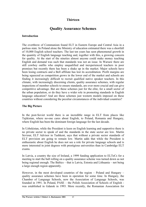# **Thirteen**

# **Quality Assurance Schemes**

#### **Introduction**

The overthrow of Communism found ELT in Eastern Europe and Central Asia in a parlous state. In Poland alone the Ministry of education estimated there was a shortfall of 10,000 English school teachers. The last ten years has seen phenomenal growth in the quantity of English language teaching and, together with this, a growing concern for quality. At the start of the nineties almost anyone could make money teaching English and demand was such that standards was not an issue. In Warsaw there are still cowboy outfits who employ unqualified and inexperienced teachers in poor premises but recently there has been a shake up in the market. Major schools have been losing contracts and a Bell affiliate has lost its accreditation. Profit margins are being squeezed as competition grows in the lower end of the market and schools are finding it increasingly difficult to recruit qualified native speaker teachers. In this climate, with increasingly discerning clients, quality assurance schemes, with regular inspections of member schools to ensure standards, are ever more crucial and can give competitive advantage. But are these schemes just for the elite, for a small sector of the urban population, or do they have a wider role in promoting standards in English language education? And are these schemes just western models imposed on these countries without considering the peculiar circumstances of the individual countries?

#### **The Big Picture**

In the post-Soviet world there is an incredible range in ELT from places like Tajikistan, where no-one cares about English, to Poland, Romania and Hungary, where English has been the dominant foreign language for the last decade.

In Uzbekistan, while the President is keen on English learning and supportive there is no private sector to speak of and the standards in the state sector are low. Martin Seviour, ELT Advisor in Tashkent, says that without a private sector standards of ELT provision are going to remain low. Martin adds that while the President is enthusiastic about English he does not see a role for private language schools and is more interested in joint degrees with prestigious universities than in Cambridge ELT exams.

In Latvia, a country the size of Ireland, a 1999 funding application to ELTeCs for a meeting to start the ball rolling on a quality assurance scheme was turned down as not being regional enough. The Baltics – that is Latvia, Estonia and Lithuania – not being a large enough region apparently.

However, in the most developed countries of the region – Poland and Hungary – quality assurance schemes have been in operation for some time. In Hungary, the Chamber of Language Schools, now the Association of Language Schools, was founded in 1991. In Poland, PASE – the Polish Association of Schools of English was established in Gdansk in 1993. More recently, the Romanian Association for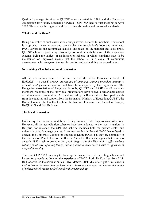Quality Language Services – QUEST – was created in 1996 and the Bulgarian Association for Quality Language Services – OPTIMA had its first meeting in April 2000. This shows the regional-wide drive towards quality and improved standards.

#### **What's in it for them?**

Being a member of such associations brings several benefits to members. The school is 'approved' in some way and can display the association's logo and letterhead. PASE advertises the recognised schools (and itself) in the national and local press. QUEST schools report being chosen by corporate clients because of the inspection scheme. Being the subject of an inspection scheme in which standards have to be maintained or improved means that the school is in a cycle of continuous development with an eye on the next inspection and maintaining the accreditation.

#### **Networking - The International Dimension**

All the associations desire to become part of the wider European network of EQUALS - *'a pan European association of language training providers aiming to promote and guarantee quality'* and have been inspired by that organisation. The Hungarian Association of Language Schools, QUEST and PASE are all associate members. Meetings of the individual organisations have shown a remarkable degree of international co-operation. A recent workshop in Bucharest involved participants from 16 countries and support from the Romanian Ministry of Education, QUEST, the British Council, the Goethe Institute, the Institute Francais, the Council of Europe, EAQUALS and Bell Budapest.

#### **The Local Dimension**

Critics say that western models are being imported into inappropriate situations. However, all the accreditation schemes have been adapted to the local situation. In Bulgaria, for instance, the OPTIMA scheme includes both the private sector and university based language centres. In contrast to this, in Poland, PASE has refused to accredit the University Centres for English Teaching (UCET) as they are nominally in the state sector. Paul Hilder, of the British Council in Bucharest, agrees that there was an early 1990s rush to promote *'the good things we in the West had to offer, without valuing local ways of doing things, but in general a much more sensitive approach is adopted these days.'* 

The recent OPTIMA meeting to draw up the inspection criteria, rating scheme and inspection procedures drew on the experience of PASE. Ludmila Kotarksa from ELS-Bell Gdansk led the seminar but as Galya Mateva, OPTIMA Chair, put it *'we haven't had to invent the wheel but we have had to introduce changes and choose the model of vehicle which makes us feel comfortable when riding.'*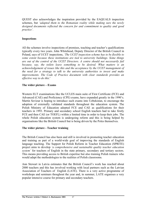QUEST also acknowledges the inspiration provided by the EAQUALS inspection schemes, but *'adapted them to the Romanian reality while making sure the newly designed documents reflected the concern for and commitment to quality and good practice'.* 

#### **Inspections**

All the schemes involve inspections of premises, teaching and teacher's qualifications typically every two years. John Whitehead, Deputy Director of the British Council in Poland, says of UCET inspections, *'The UCET inspection scheme has to be flexible to some extent because these institutions are tied to university buildings. Some things are out of the control of the UCET Directors. A centre should not necessarily fail because, say, the toilets leave something to be desired. What matters is an acknowledgement of issues like this and the acceptance by the UCET management of the need for a strategy to talk to the university authorities to invest and make improvements. The Code of Practice document with clear standards provides an effective way to do this.*'

#### **The wider picture – Exams**

Western ELT examinations like the UCLES main suite of First Certificate (FCE) and Advanced (CAE) and Proficiency (CPE) exams, have expanded greatly in the 1990's. Martin Seviour is hoping to introduce such exams into Uzbekistan, to encourage the adoption of externally validated standards throughout the education system. The Polish Ministry of Education adopted FCE and CAE as qualifications for their teachers in 1993. Primary and secondary school English teachers had to take firstly FCE and then CAE (or TOEFL) within a limited time in order to keep their jobs. The whole Polish education system is undergoing reform and this is being helped by organisations like the British Council but is being driven by the Poles themselves.

#### **The wider picture - Teacher training**

The British Council has also been and still is involved in promoting teacher education and training as part of a world-wide goal of improving the standards of English language teaching. The Support for Polish Reform in Teacher Education (SPRITE) project aims to develop *'a comprehensive and sustainable quality teacher education system'* for teachers of English in the state primary, secondary and tertiary sectors. This means providing access to British expertise but also training Polish trainers who would adapt the methodologies to the realities of Polish classrooms.

Ann Stewart in Latvia estimates that the British Council's work has reached about 2000 teachers and this has involved working with local partners such as the Latvian Association of Teachers of English (LATE). There is a very active programme of workshops and seminars thoughout the year and, in summer, LATE organises a very popular intensive course for primary and secondary teachers.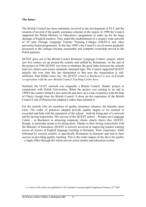#### **The future**

The British Council has been intimately involved in the development of ELT and the creation of several of the quality assurance schemes in the region. In 1990 the Council supported the Polish Ministry of Education's programme to make up for the huge shortage of English teachers. They aided the establishment of a country-wide network of 54 state Foreign Language Teacher Training Colleges (NKJO's) and other university-based programmes. In the late 1990's the Council's involvement gradually decreased as the colleges became sustainable and complete ownership moved to the Polish partners.

QUEST grew out of the British Council Romania 'Language Centres' project, which saw five centres set up around the country and staffed by Romanians. At the end of the project in 1996 QUEST was born to maintain the good links between the schools (and two others) and ensure standards remained high. The Council supported QUEST initially but over time this has diminished so that now the organisation is selfsufficient. Paul Hilder notes *that 'the QUEST school in Bucharest is now in friendly co-operation with the new British Council Teaching Centre here.'* 

Similarly the UCET network was originally a British Council 'Studia' project in conjunction with Polish Universities. When the project was coming to an end in 1998/9 the centres formed a new network and drew up a code of practice with the help of Cherry Gough from the British Council. It drew on the experience of the British Council Code of Practice but adapted it rather than imitated it.

For the schools who are members of quality assurance schemes, the benefits seem clear. The codes of practices adopted provide quality targets to be reached or exceeded and help with the reputation of the school – both by being part of a network and by having inspections. The success of the QUEST school - Prosper-ase Language Centre - in Bucharest in attracting corporate clients clearly shows this. QUEST, though, in particular seems to be doing more. Thanks to their strong connections with the Ministry of Education, QUEST is actively involved in improving teacher training across all sectors of English language teaching in Romania. Their experience, while informed by western models, is specifically Romanian in character and tied to their success in providing quality teaching. This is the wider impact of the drive for quality – a ripple effect through the whole private sector market and education system.

A version of this article was published in The Guardian Learning English Supplement February 22nd 2001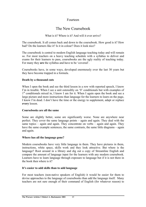# Fourteen

# The New Coursebook

#### What is it? Where is it? And will it ever arrive?

The coursebook. It all comes back and down to the coursebook. How good is it? How bad? Do the learners like it? Is it in colour? Does it look nice?

The coursebook is central to modern English language teaching today and will remain so. For most teachers on a heavy teaching schedule with a syllabus to deliver and exams for their learners to pass, coursebooks are the ugly reality of teaching today. For many they **are** the syllabus and have to be 'covered'.

Coursebooks have, in some ways, developed enormously over the last 30 years but they have become trapped in a formula.

#### **Death by a thousand cuts**

When I open the book and see the third lesson in a row with reported speech, I know I'm in trouble. When I see a unit ostensibly on '0' conditionals but with examples of 1<sup>st</sup> conditionals mixed in, I know I am for it. When I again open the book and see a large picture and more instructions than language for the learners to learn on the page, I know I'm dead. I don't have the time or the energy to supplement, adapt or replace **every** lesson.

#### **Coursebooks are all the same**

Some are slightly better, some are significantly worse. None are anywhere near perfect. They cover the same language points – again and again. They deal with the same topics – again and again. They concentrate on verbs – again and again. They have the same example sentences, the same contrasts, the same little diagrams – again and again.

#### **Where has all the language gone?**

Modern coursebooks have very little language in them. They have pictures in them, instructions, white space, skills work and they look attractive. But where is the language? Root around in a library and dig out a copy of Streamline English and compare the amount of language input for the learners with any modern coursebook. Learners have to learn language through exposure to language but if it is not there in the book then where is it?

#### **It's easier to add skills than to add language**

For most teachers (non-native speakers of English) it would be easier for them to devise approaches to the language of coursebooks than add the language itself. Many teachers are not sure enough of their command of English (for whatever reason) to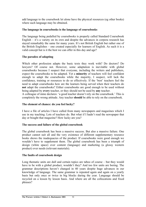add language to the coursebook let alone have the physical resources (eg other books) where such language may be obtained.

#### **The language in coursebooks is the language of coursebooks**

The language being pedalled by coursebooks is properly called Standard Coursebook English – it's a variety on its own and despite the advances in corpora research has stayed remarkably the same for many years. It's not British English but rather one of the British Englishes – one created especially for learners of English. As such it is a valid concept but is it the best we can offer in this day and age?

#### **The paradox of adapting**

Which other profession adapts the basic texts they work with? Do doctors? Do lawyers? Of course not. However, some adaptation is inevitable with global coursebooks because I suspect that everyone, including the writers and publishers, expect the coursebooks to be adapted. Yet a **minority** of teachers will feel confident enough to adapt the coursebooks while the majority, I suspect, will lack the confidence, training or resources to do so effectively. If the 'best' teachers feel the need to adapt coursebooks how are the learners being served when their teachers do **not** adapt the coursebooks? Either coursebooks are good enough to be used without being adapted by **every** teacher, or they should not be used by **any** teacher.

A colleague of mine declares: 'a good teacher doesn't rely on the coursebook.' This is completely the wrong attitude. Any teacher **should** be able to rely on the coursebook.

#### **The element of chance: do you feel lucky?**

I have a file of articles I have culled from many newspapers and magazines which I use in my teaching. Lots of teachers do. But what if I hadn't read the newspaper that day or bought that magazine? How lucky are you?

#### **The success and failure of the global coursebook**

The global coursebook has been a massive success. But also a massive failure. One product cannot suit all and the very existence of different supplementary resource books shows the inadequacies of the product. If coursebooks were good enough we wouldn't have to supplement them. The global coursebook has been a triumph of design (white space) over content (language) and marketing (a glossy western product) over needs (relevant materials).

#### **The faults of coursebook design**

Long thematic units are dull and certain topics are taboo of course – but they would have to be with a global product, wouldn't they? And too few units are boring. The grammar descriptions haven't changed in 40 years despite huge advances in our knowledge of language. The same grammar is repeated again and again on a yearly basis but only once or twice in big blocks during the year. Language should be recycled on a lesson by lesson basis. And where are all the collocations and fixed phrases?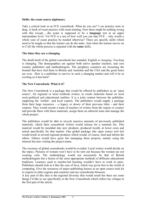#### **Skills: the exam course nightmare.**

Take a critical look at an FCE coursebook. What do you see? I see practice tests in drag. A book of exam practice with exam training. Now there might be nothing wrong with this except…..the exam is supposed to be a **language** test at an upper intermediate level. Yet FCE is a test of how well you can take FCE – why would a whole year of exam practice be needed otherwise? There are specific skills which need to be taught so that the learner can do the tasks. And when the learner moves on to CAE the whole process is repeated with the **same** skills.

#### **The times they are a changing**

The death knell of the global coursebook has sounded. English is *changing*. *Teaching* is changing. The demographics are against both native speaker teachers, and core country publishers and methodologists. The periphery countries are loosening the bounds that have tied them to Britain and Australia and the USA and the good times are over. How is a publisher to survive in such a changing market and will it be as exciting as it has been?

#### **The New Coursebook. What is it?**

The New Coursebook is a package that would be offered by publishers as an 'open source', for regional or local textbook writers, to create materials based on local socio-political and educational realities. It is a joint venture between the publisher, supplying the 'toolkit', and local experts. The publishers would supply a package from their huge resources – a legacy or dowry of their previous titles - and their corpora. They would recruit a team of teachers of writers from the region or country and provide them with these materials, assign them an editorial team and manage the whole project.

The publishers would be able to recycle massive amounts of previously published materials, which their coursebook writers would release for a nominal fee. This material would be moulded into new products, produced locally at lower costs and suited specifically for that market. One global package (the open source tool kit) would result in several regional products which would, of course, feed and inform the others. Editors would have great fun managing these projects, mainly using the internet but also visiting the project teams.

The excesses of global coursebooks would be avoided. Local writers would decide on the topics. Pictures of women won't have to be torn out because the women are not wearing veils. The methodology would not necessarily be that of British methodologists but a fusion of the most appropriate methods of different educational traditions. Learners used to teacher-led learning wouldn't have to work in pairs. Publishers should look at it like the case of Java, which was given free to the world of computing. Give the resources of major publishing houses as an open source took kit to experts in other regions and countries and see coursebooks blossom.

A key part of this idea is the regional diversity that would result but there are some things I'd like to see specifically in the New Coursebook which reflect my critique in the first part of the article.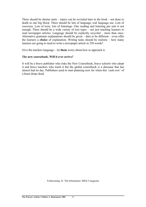There should be shorter units – topics can be revisited later in the book – not done to death in one big block. There should be lots of language, real language use. Lots of exercises. Lots of texts, lots of listenings. One reading and listening per unit is not enough. There should be a wide variety of text types – not just teaching learners to read newspaper articles. Language should be explicitly recycled – more than once. Alternative grammar explanations should be given – dare to be different – even offer the learners a **choice** of explanation. Writing tasks should be realistic – how many learners are going to need to write a newspaper article in 250 words?

Give the teachers language – let **them** worry about how to approach it.

#### **The new coursebook. Will it ever arrive?**

It will be a brave publisher who risks the New Coursebook, brave schools who adopt it and brave teachers who teach it but the global coursebook is a dinosaur that has almost had its day. Publishers need to start planning now for when this 'cash cow' of a beast drops dead.

Forthcoming: In 'The Information' BIELT magazine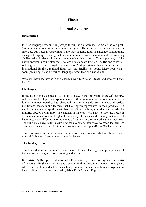# **Fifteen**

# **The Dual Syllabus**

#### **Introduction**

English language teaching is perhaps (again) at a crossroads. Some of the old post- 'communicative revolution' certainties are gone. The influence of the core countries (the UK, USA etc) is weakening in the face of large English-language demographic changes. Language teaching methods and strictures from the core countries are being challenged as irrelevant in certain language learning contexts. The 'supremacy' of the native speaker is being attacked. The idea of a standard English – as **the** one to learn – is being exposed as the myth it always was. Multiple standards are being proposed: international English, regional Englishes, my English not yours. More people may soon speak English as a 'learned' language rather than as a native one.

Who will have the power in this changed world? Who will teach and what will they teach?

#### **Challenges**

In the face of these changes,  $ELT$  as it is today, in the first years of the  $21<sup>st</sup>$  century, will have to develop to incorporate some of these new realities. Global coursebooks look an obvious casualty. Publishers will have to persuade Governments, ministries, institutions, teachers and learners that the English represented in their products is a valid English. Native speakers will have to offer something more than an English of a minority speech community. The English in materials will have to meet the needs of diverse learners who want English for a variety of reasons and teaching methods will have to suit the different learning styles of learners in different educational contexts. Teaching may have to fit in with new technology as new ways to reach learners are developed. One size fits all might well soon be seen as a post-Berlin Wall aberration.

There are many books and articles on how to teach, fewer on what we should teach: this article is a small attempt to redress the balance.

#### **The Dual Syllabus**

The dual syllabus is an attempt to meet some of these challenges and prompt some of the necessary changes in both teaching and testing.

It consists of a Receptive Syllabus and a Productive Syllabus. Both syllabuses consist of two main Englishes: written and spoken. Within these are a number of registers which are explicitly dealt with as being separate rather than lumped together as General English. In a way the dual syllabus ESPs General English.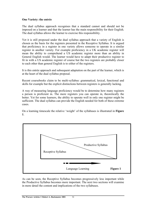#### **One Variety: the entrée**

The dual syllabus approach recognises that a standard cannot and should not be imposed on a learner and that the learner has the main responsibility for their English. The dual syllabus allows the learner to exercise this responsibility.

Yet it is still proposed under the dual syllabus approach that a variety of English is chosen as the basis for the registers presented in the Receptive Syllabus. It is argued that proficiency in a register in one variety allows someone to operate in a similar register in another variety. For example proficiency in a UK academic register will mean the ability to comprehend a US academic register more than an ability in General English would. The learner would have to adapt their productive register to fit in with a US academic register of course but the two registers are probably closer to each other than general English is to either of the registers.

It is this entrée approach and subsequent adaptation on the part of the learner, which is at the heart of the dual syllabus proposal.

Recent coursebooks claim to be multi-syllabus: grammatical, lexical, functional and skills for example but the explicit distinctions between registers is generally lacking.

A way of measuring language proficiency would be to determine how many registers a person is proficient in. The more registers you can operate in, theoretically the better. Yet for some learners, the ability to operate well in only one register might be sufficient. The dual syllabus can provide the English needed for both of these extreme cases.

On a learning timescale the relative 'weight' of the syllabuses is illustrated in **Figure 1**.



As can be seen, the Receptive Syllabus becomes progressively less important while the Productive Syllabus becomes more important. The next two sections will examine in more detail the content and implications of the two syllabuses.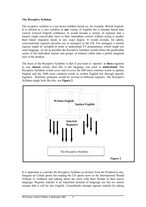#### **The Receptive Syllabus**

The receptive syllabus is a top-down syllabus based on, for example, British English. It is offered as a core syllabus to **one** variety of English but is broader based than current General English syllabuses. It would include a variety of registers that a learner might conceivably meet in their immediate context without trying to predict their future linguistic needs to any exact degree. It would exclude, for adults, conversational registers peculiar say to teenagers in the UK. For teenagers a similar register might be included in order to understand TV programmes, which might use such language. As far as possible the Receptive Syllabus would reflect the predictable needs of the individual learner and groups of learners rather than a global imagined user of the product.

The basis of the Receptive Syllabus is that if you want to 'operate' in **these** registers in you **chosen** variety then this is the language you need to **understand**. The Receptive Syllabus would cover and re-cover the 600 most common words in spoken English and the 3000 most common words in written English but through specific registers. Similarly grammar would be revised in different registers. The Receptive Syllabus might look like this: see **Figure 2**.



It is important to consider the Receptive Syllabus as distinct from the Productive one. Imagine an Uzbek sports fan reading the US sports news in the International Herald Tribune in Tashkent and talking about the news with their friends in their native language. Register transfer is an important element of language use but we cannot assume that it will be into English. Coursebooks attempt register transfer by asking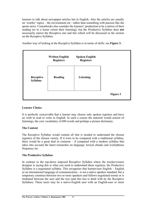learners to talk about newspaper articles but in English. Also the articles are usually on 'worthy' topics – the environment etc - rather than something with passion like the sports news. Coursebooks also consider the learners' production to be a mirror of their reading (or to a lesser extent their listening), but the Productive Syllabus does **not** necessarily mirror the Receptive one and this which will be discussed in the section on the Receptive Syllabus.

Another way of looking at the Receptive Syllabus is in terms of skills: see **Figure 3.** 



# **Learner Choice**

It is perfectly conceivable that a learner may choose only spoken registers and have no wish to read or write in English. In such a course the material would consist of listenings, the core vocabulary of 600 words and perhaps a picture dictionary.

# **The Content**

The Receptive Syllabus would contain all that is needed to understand the chosen registers of the chosen variety. If it were to be compared with a traditional syllabus, there would be a great deal in common – if compared with a modern syllabus that takes into account the latest researches on language: lexical chunks and word/phrase frequency etc.

# **The Productive Syllabus**

In contrast to the top-down imposed Receptive Syllabus where the teacher/course designer is saying this is what you need to understand these registers, the Productive Syllabus is a negotiated syllabus. This recognises that learner/user English – English as an international language of communication - is not a native speaker standard, but a temporary construct between two or more speakers and follows negotiated norms or is mediated between the user and the text (and this last is dealt with by the Receptive Syllabus). These users may be a native-English user with an English-user or more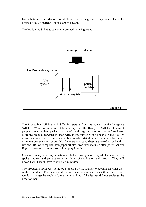likely between English-users of different native language backgrounds. Here the norms of, say, American English, are irrelevant.

The Productive Syllabus can be represented as in **Figure 4.** 



The Productive Syllabus will differ in respects from the content of the Receptive Syllabus. Whole registers might be missing from the Receptive Syllabus. For most people – even native speakers - a lot of 'read' registers are not 'written' registers. More people read newspapers than write them. Similarly more people watch the TV news than present it. This may seem obvious when stated but a lot of coursebooks and examinations seem to ignore this. Learners and candidates are asked to write film reviews, 100 word reports, newspaper articles, brochures etc in an attempt for General English learners to produce something (anything?).

Certainly in my teaching situation in Poland my general English learners need a spoken register and perhaps to write a letter of application and a report. They will never, I will hazard, have to write a film review.

The Productive Syllabus should be proposed by the learner to account for what they wish to produce. The onus should be on them to articulate what they want. There would no longer be endless formal letter writing if the learner did not envisage the need for them.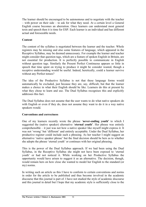The learner should be encouraged to be autonomous and to negotiate with the teacher – with power on their side – to ask for what they need. At a certain level a General English course becomes an aberration. Once learners can understand most general texts and speech then it is time for ESP. Each learner is an individual and has different actual and foreseeable needs.

#### **Content**

The content of the syllabus is negotiated between the learner and the teacher. Whole registers may be missing and also some features of language, which appeared in the Receptive Syllabus, may be deemed unnecessary. For example the learner and teacher might consider that question tags, which are a feature of spoken English in Britain, are not essential for production. It is perfectly possible to communicate in English without question tags. Similarly the Present Perfect Continuous appears so little in speech that time spent on trying to produce it might be consider wasted, though a receptive understanding would be useful. Indeed, heretically, could a learner survive without any Perfect tenses?

The idea of the Productive Syllabus is not that these language forms would automatically be excluded, just because they are, say, difficult, but that the learner makes a choice in what their English should be like. Learners do this at present by what they chose to learn and use. The Dual Syllabus recognises this and explicitly addresses this fact.

The Dual Syllabus does not assume that the user wants to do what native speakers do with English or even if they do, does not assume they want to do it in a way native speakers would.

#### **Conventions and correctness**

One of my learners recently wrote the phrase '**never-ending youth'** to which I suggested the (native speaker) alternative '**eternal youth'**. Her phrase was entirely comprehensible – it just was not how a native speaker like myself might express it. It was not 'wrong' but 'different' and entirely acceptable. Under the Dual Syllabus, her productive register could include such a phrasing. As her teacher I might suggest an alternative 'native speaker phrase' but the final decision should be hers as to whether she adopts the phrase 'eternal youth' or continues with her original phrasing.

This is the power of the Dual Syllabus approach. If we had been using the Dual Syllabus, in the Receptive Syllabus she might not have been exposed to 'eternal youth' or had not noticed it. While working on her Productive Syllabus the opportunity would have arisen to suggest it as an alternative. The decision, though, would remain hers on how close she wanted to model her English to the standard (or my) norms.

In writing such an article as this I have to conform to certain conventions and norms in order for the article to be published and thus become involved in the academic discourse that this journal is part of. I have not studied the style of academic discourse and this journal in detail but I hope that my academic style is sufficiently close to the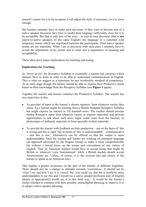journal's norms for it to be accepted. I will adjust the style, if necessary, so it is close enough.

My learners similarly have to make such decisions: if they want to become part of a native speaker discourse they have to model their language sufficiently close for it to be acceptable. But that is only part of the story – in user-to-user discourse (that is **not** native-to-native speakers of the same English) the language is a construct with temporary norms which are negotiated between the participants. Then native speaker norms are not important. When I am in discourse with such users I similarly have to accept the adjustment of my norms and to enter into a negotiation of meaning and acceptability.

These ideas have major implications for teaching and testing.

#### **Implications for Teaching**

At 'lower levels' the Receptive Syllabus is essentially a teacher-led construct which learners have to learn in order to be able to understand communication in English. This is what we suggest as a minimum for any worthwhile standard of competency. At an early stage though the learner should be able to express their Productive needs based on their knowledge from the Receptive Syllabus (see **Figure 1** again).

Together the teacher and learner construct the Productive Syllabus. The teacher has two main roles in this.

- As provider of input in the learner's chosen registers: from whatever variety they chose. Eg a learner might be learning from a British Standard Receptive Syllabus but might express an interest in US baseball news. The teacher should provide further Receptive input from whatever variety or register requested, and provide opportunities to talk about such news. Input could come from the Internet, as photocopies of authentic materials or from specially written materials.
- To provide the learner with feedback on their production not on the basis of 'this is wrong and this is right' but in terms of 'this is understandable – communicative – and this is not.' Alternatives can be offered so that the output is more understandable. Here the teacher and learner are working on emergent language (an approach advocated by the Dogme Group) to make it more comprehensible but without a forced focus on the norms and conventions of one variety of English. Thus an American teacher would have to accept forms that might be British or whatever, even 'International' while a British teacher should accept Americanisms etc. Unless, of course, it is the avowed aim and choice of the learner to speak as an American (etc).

This implies a greater awareness on the part of the teacher of different Englishes. There should also be a change in attitudes towards 'correctness'. It should not be 'what I say and how I say it is correct' but 'you could say that but it would be more understandable to say this and I myself (as a native speaker/proficient user of English [delete as appropriate]) would say it in this third way.'. It would be the learner's choice whether to continue with their possibly unintelligible phrasing, to improve it or to adopt a native speaker phrasing.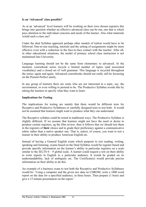#### **Is an 'Advanced' class possible?**

As at an 'advanced' level learners will be working on their own chosen registers this brings into question whether an effective advanced class can be run, one that is which pays attention to the individual concerns and needs of the learner. Also what materials would such a class use?

Under the dual Syllabus approach perhaps other models of tuition would have to be followed. One-to-one teaching, tutorials and the setting of assignments might be more effective even with a reduction in the face-to-face contact with the teacher. After all, in other educational situations, the model of primary school class instruction is not maintained into University.

Language learning should not be the same from elementary to advanced. At the moment, coursebook series recycle a limited number of topics (and associated vocabulary) and a closed set of verb grammar. This language is recycled throughout the series: again and again. Advanced coursebooks should not really still be focussing on the Present Perfect surely.

In any group of learners there are some who are not interested in a topic, say, the environment, or even willing to pretend to be. The Productive Syllabus avoids this by asking the learners to specify what they want to learn.

#### **Implications for Testing**

The implications for testing are mainly that there would be different tests for Receptive and Productive Syllabuses or carefully designed tests to test both. It would not be assumed that learners might want to produce what they can understand.

The Receptive syllabus could be tested in traditional ways. The Productive Syllabus is slightly different. If we assume that learners might not have the need or desire to produce certain registers, eg the film review, then it follows that we should test them in the registers of **their** choice and to grade their proficiency against a communicative rubric rather than a native speaker one. That is, unless, of course, you want to test a learner in their ability to produce American English etc.

Instead of having a General English exam which purports to test reading, writing, speaking and listening, exams based on the Dual Syllabus would be register based and provide specific information on the learner's ability in particular registers on a scale similar to the IELTS  $0 - 9$  global scale. A learner could request a test on their ability to write reports in English to a particular audience. It would be graded on its understandability, lack of ambiguity etc. The Certificate(s) would provide precise information on their ability to do this.

An example of a business exam to test both the Receptive and Productive Syllabuses would be: 'Using a computer and the given raw data on CDROM, write a 1000 word report on the data for a specified audience, in three hours. Then prepare (1 hour) and give a 15 minute presentation on the report.'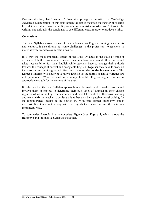One examination, that I know of, does attempt register transfer: the Cambridge Advanced Examination. In this task though the test is focussed on transfer of specific lexical items rather than the ability to achieve a register transfer itself. Also in the writing, one task asks the candidates to use different texts, in order to produce a third.

#### **Conclusions**

The Dual Syllabus answers some of the challenges that English teaching faces in this new century. It also throws out some challenges to the profession: to teachers, to material writers and to examination boards.

In a way the most important aspect of the Dual Syllabus is the state of mind it demands of both learners and teachers. Learners have to articulate their needs and takes responsibility for their English while teachers have to change their attitude towards the concept of correct and acceptable English. Together they have to work on the learners emergent registers to fine tune them **as afar as the learner wants**. The learner's English will never be a native English so the norms of native varieties are not paramount. What is need is a comprehensible English register which is appropriate enough for the context of the user.

It is the fact that the Dual Syllabus approach must be made explicit to the learners and involve them in choices to determine their own level of English in their chosen registers which is the key. The learners would have take control of their own learning and work **with** the teacher to achieve this rather than be a passive vessel waiting for an agglomerated English to be poured in. With true learner autonomy comes responsibility. Only in this way will the English they learn become theirs in any meaningful way.

To summarise I would like to complete **Figure 3** as **Figure 5,** which shows the Receptive and Productive Syllabuses together.